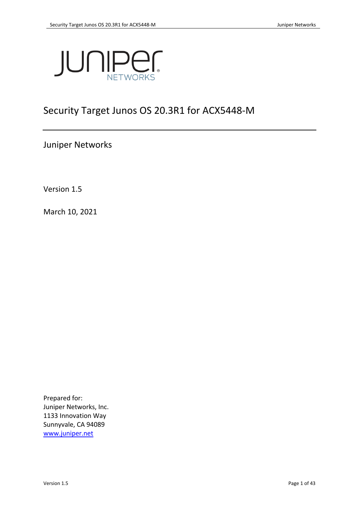

# Security Target Junos OS 20.3R1 for ACX5448-M

Juniper Networks

Version 1.5

March 10, 2021

Prepared for: Juniper Networks, Inc. 1133 Innovation Way Sunnyvale, CA 94089 [www.juniper.net](http://www.juniper.net/)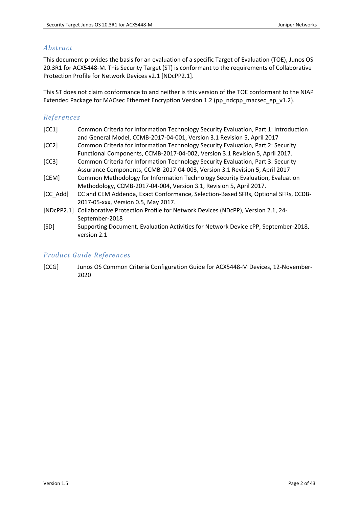# *Abstract*

This document provides the basis for an evaluation of a specific Target of Evaluation (TOE), Junos OS 20.3R1 for ACX5448-M. This Security Target (ST) is conformant to the requirements of Collaborative Protection Profile for Network Devices v2.1 [NDcPP2.1].

This ST does not claim conformance to and neither is this version of the TOE conformant to the NIAP Extended Package for MACsec Ethernet Encryption Version 1.2 (pp\_ndcpp\_macsec\_ep\_v1.2).

# *References*

<span id="page-1-1"></span>

| [CC1]    | Common Criteria for Information Technology Security Evaluation, Part 1: Introduction      |
|----------|-------------------------------------------------------------------------------------------|
|          | and General Model, CCMB-2017-04-001, Version 3.1 Revision 5, April 2017                   |
| [CC2]    | Common Criteria for Information Technology Security Evaluation, Part 2: Security          |
|          | Functional Components, CCMB-2017-04-002, Version 3.1 Revision 5, April 2017.              |
| [CC3]    | Common Criteria for Information Technology Security Evaluation, Part 3: Security          |
|          | Assurance Components, CCMB-2017-04-003, Version 3.1 Revision 5, April 2017                |
| [CEM]    | Common Methodology for Information Technology Security Evaluation, Evaluation             |
|          | Methodology, CCMB-2017-04-004, Version 3.1, Revision 5, April 2017.                       |
| [CC Add] | CC and CEM Addenda, Exact Conformance, Selection-Based SFRs, Optional SFRs, CCDB-         |
|          | 2017-05-xxx, Version 0.5, May 2017.                                                       |
|          | [NDcPP2.1] Collaborative Protection Profile for Network Devices (NDcPP), Version 2.1, 24- |
|          | September-2018                                                                            |
| [SD]     | Supporting Document, Evaluation Activities for Network Device cPP, September-2018,        |
|          | version 2.1                                                                               |

# <span id="page-1-0"></span>*Product Guide References*

[CCG] Junos OS Common Criteria Configuration Guide for ACX5448-M Devices, 12-November-2020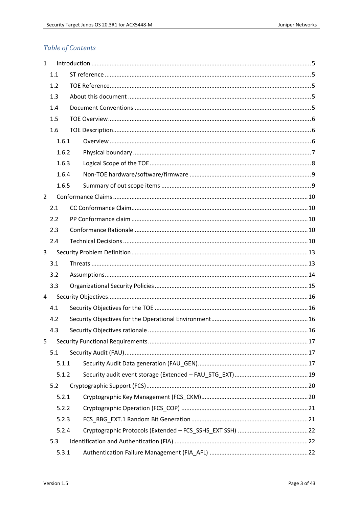# Table of Contents

| $\mathbf{1}$   |       |  |  |  |
|----------------|-------|--|--|--|
|                | 1.1   |  |  |  |
|                | 1.2   |  |  |  |
|                | 1.3   |  |  |  |
|                | 1.4   |  |  |  |
|                | 1.5   |  |  |  |
|                | 1.6   |  |  |  |
|                | 1.6.1 |  |  |  |
|                | 1.6.2 |  |  |  |
|                | 1.6.3 |  |  |  |
|                | 1.6.4 |  |  |  |
|                | 1.6.5 |  |  |  |
| $\overline{2}$ |       |  |  |  |
|                | 2.1   |  |  |  |
|                | 2.2   |  |  |  |
|                | 2.3   |  |  |  |
|                | 2.4   |  |  |  |
| 3              |       |  |  |  |
|                | 3.1   |  |  |  |
|                | 3.2   |  |  |  |
|                | 3.3   |  |  |  |
| 4              |       |  |  |  |
|                | 4.1   |  |  |  |
|                | 4.2   |  |  |  |
|                | 4.3   |  |  |  |
| 5              |       |  |  |  |
|                | 5.1   |  |  |  |
|                | 5.1.1 |  |  |  |
|                | 5.1.2 |  |  |  |
|                | 5.2   |  |  |  |
|                | 5.2.1 |  |  |  |
|                | 5.2.2 |  |  |  |
|                | 5.2.3 |  |  |  |
|                | 5.2.4 |  |  |  |
|                | 5.3   |  |  |  |
|                | 5.3.1 |  |  |  |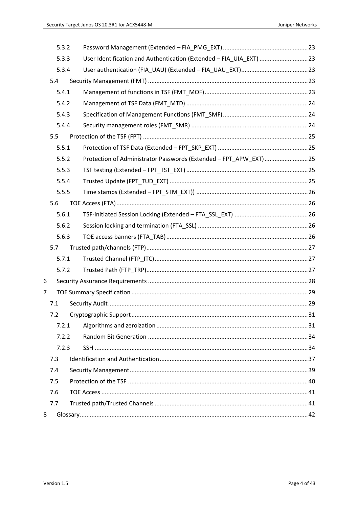|   | 5.3.2 |                                                                     |  |
|---|-------|---------------------------------------------------------------------|--|
|   | 5.3.3 | User Identification and Authentication (Extended - FIA_UIA_EXT)  23 |  |
|   | 5.3.4 |                                                                     |  |
|   | 5.4   |                                                                     |  |
|   | 5.4.1 |                                                                     |  |
|   | 5.4.2 |                                                                     |  |
|   | 5.4.3 |                                                                     |  |
|   | 5.4.4 |                                                                     |  |
|   | 5.5   |                                                                     |  |
|   | 5.5.1 |                                                                     |  |
|   | 5.5.2 | Protection of Administrator Passwords (Extended - FPT_APW_EXT) 25   |  |
|   | 5.5.3 |                                                                     |  |
|   | 5.5.4 |                                                                     |  |
|   | 5.5.5 |                                                                     |  |
|   | 5.6   |                                                                     |  |
|   | 5.6.1 |                                                                     |  |
|   | 5.6.2 |                                                                     |  |
|   | 5.6.3 |                                                                     |  |
|   | 5.7   |                                                                     |  |
|   | 5.7.1 |                                                                     |  |
|   | 5.7.2 |                                                                     |  |
| 6 |       |                                                                     |  |
| 7 |       |                                                                     |  |
|   | 7.1   |                                                                     |  |
|   | 7.2   |                                                                     |  |
|   | 7.2.1 |                                                                     |  |
|   | 7.2.2 |                                                                     |  |
|   | 7.2.3 |                                                                     |  |
|   | 7.3   |                                                                     |  |
|   | 7.4   |                                                                     |  |
|   | 7.5   |                                                                     |  |
|   | 7.6   |                                                                     |  |
|   | 7.7   |                                                                     |  |
| 8 |       |                                                                     |  |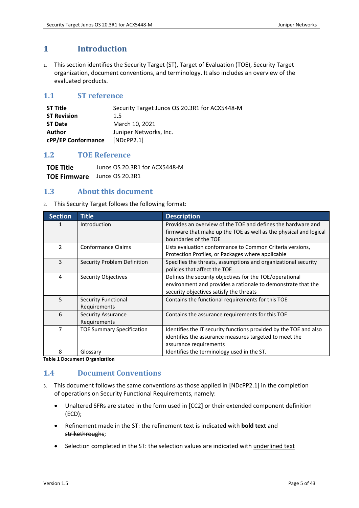# <span id="page-4-0"></span>**1 Introduction**

1. This section identifies the Security Target (ST), Target of Evaluation (TOE), Security Target organization, document conventions, and terminology. It also includes an overview of the evaluated products.

# <span id="page-4-1"></span>**1.1 ST reference**

| ST Title           | Security Target Junos OS 20.3R1 for ACX5448-M |
|--------------------|-----------------------------------------------|
| <b>ST Revision</b> | 1.5                                           |
| <b>ST Date</b>     | March 10, 2021                                |
| Author             | Juniper Networks, Inc.                        |
| cPP/EP Conformance | [NDCPP2.1]                                    |

# <span id="page-4-2"></span>**1.2 TOE Reference**

**TOE Title** Junos OS 20.3R1 for ACX5448-M **TOE Firmware** Junos OS 20.3R1

# <span id="page-4-3"></span>**1.3 About this document**

2. This Security Target follows the following format:

| <b>Section</b> | <b>Title</b>                              | <b>Description</b>                                                                                                                                                 |
|----------------|-------------------------------------------|--------------------------------------------------------------------------------------------------------------------------------------------------------------------|
| 1              | Introduction                              | Provides an overview of the TOE and defines the hardware and<br>firmware that make up the TOE as well as the physical and logical                                  |
|                |                                           | boundaries of the TOE                                                                                                                                              |
| $\mathcal{P}$  | <b>Conformance Claims</b>                 | Lists evaluation conformance to Common Criteria versions,<br>Protection Profiles, or Packages where applicable                                                     |
| 3              | Security Problem Definition               | Specifies the threats, assumptions and organizational security<br>policies that affect the TOE                                                                     |
| 4              | Security Objectives                       | Defines the security objectives for the TOE/operational<br>environment and provides a rationale to demonstrate that the<br>security objectives satisfy the threats |
| 5              | Security Functional<br>Requirements       | Contains the functional requirements for this TOE                                                                                                                  |
| 6              | <b>Security Assurance</b><br>Requirements | Contains the assurance requirements for this TOE                                                                                                                   |
| 7              | <b>TOE Summary Specification</b>          | Identifies the IT security functions provided by the TOE and also<br>identifies the assurance measures targeted to meet the<br>assurance requirements              |
| 8              | Glossary                                  | Identifies the terminology used in the ST.                                                                                                                         |

**Table 1 Document Organization**

# <span id="page-4-4"></span>**1.4 Document Conventions**

- 3. This document follows the same conventions as those applied in [NDcPP2.1] in the completion of operations on Security Functional Requirements, namely:
	- Unaltered SFRs are stated in the form used in [CC2] or their extended component definition (ECD);
	- Refinement made in the ST: the refinement text is indicated with **bold text** and strikethroughs;
	- Selection completed in the ST: the selection values are indicated with underlined text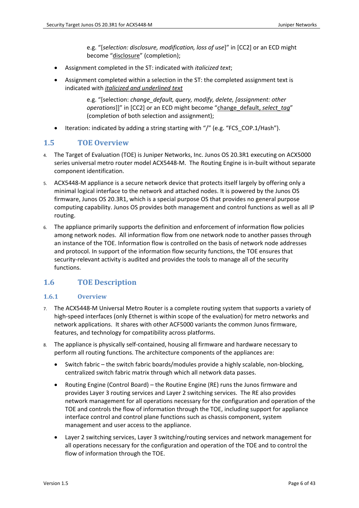e.g. "[*selection: disclosure, modification, loss of use*]" in [CC2] or an ECD might become "disclosure" (completion);

- Assignment completed in the ST: indicated with *italicized text*;
- Assignment completed within a selection in the ST: the completed assignment text is indicated with *italicized and underlined text*

e.g. "[selection: *change\_default, query, modify, delete, [assignment: other operations*]]" in [CC2] or an ECD might become "change\_default, *select\_tag*" (completion of both selection and assignment);

• Iteration: indicated by adding a string starting with "/" (e.g. "FCS\_COP.1/Hash").

# <span id="page-5-0"></span>**1.5 TOE Overview**

- 4. The Target of Evaluation (TOE) is Juniper Networks, Inc. Junos OS 20.3R1 executing on ACX5000 series universal metro router model ACX5448-M. The Routing Engine is in-built without separate component identification.
- 5. ACX5448-M appliance is a secure network device that protects itself largely by offering only a minimal logical interface to the network and attached nodes. It is powered by the Junos OS firmware, Junos OS 20.3R1, which is a special purpose OS that provides no general purpose computing capability. Junos OS provides both management and control functions as well as all IP routing.
- 6. The appliance primarily supports the definition and enforcement of information flow policies among network nodes. All information flow from one network node to another passes through an instance of the TOE. Information flow is controlled on the basis of network node addresses and protocol. In support of the information flow security functions, the TOE ensures that security-relevant activity is audited and provides the tools to manage all of the security functions.

# <span id="page-5-1"></span>**1.6 TOE Description**

## <span id="page-5-2"></span>**1.6.1 Overview**

- 7. The ACX5448-M Universal Metro Router is a complete routing system that supports a variety of high-speed interfaces (only Ethernet is within scope of the evaluation) for metro networks and network applications. It shares with other ACF5000 variants the common Junos firmware, features, and technology for compatibility across platforms.
- 8. The appliance is physically self-contained, housing all firmware and hardware necessary to perform all routing functions. The architecture components of the appliances are:
	- Switch fabric the switch fabric boards/modules provide a highly scalable, non-blocking, centralized switch fabric matrix through which all network data passes.
	- Routing Engine (Control Board) the Routine Engine (RE) runs the Junos firmware and provides Layer 3 routing services and Layer 2 switching services. The RE also provides network management for all operations necessary for the configuration and operation of the TOE and controls the flow of information through the TOE, including support for appliance interface control and control plane functions such as chassis component, system management and user access to the appliance.
	- Layer 2 switching services, Layer 3 switching/routing services and network management for all operations necessary for the configuration and operation of the TOE and to control the flow of information through the TOE.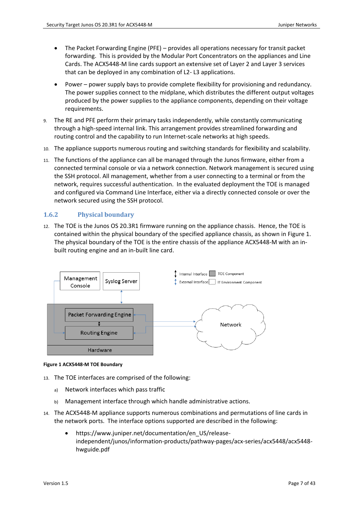- The Packet Forwarding Engine (PFE) provides all operations necessary for transit packet forwarding. This is provided by the Modular Port Concentrators on the appliances and Line Cards. The ACX5448-M line cards support an extensive set of Layer 2 and Layer 3 services that can be deployed in any combination of L2- L3 applications.
- Power power supply bays to provide complete flexibility for provisioning and redundancy. The power supplies connect to the midplane, which distributes the different output voltages produced by the power supplies to the appliance components, depending on their voltage requirements.
- 9. The RE and PFE perform their primary tasks independently, while constantly communicating through a high-speed internal link. This arrangement provides streamlined forwarding and routing control and the capability to run Internet-scale networks at high speeds.
- 10. The appliance supports numerous routing and switching standards for flexibility and scalability.
- 11. The functions of the appliance can all be managed through the Junos firmware, either from a connected terminal console or via a network connection. Network management is secured using the SSH protocol. All management, whether from a user connecting to a terminal or from the network, requires successful authentication. In the evaluated deployment the TOE is managed and configured via Command Line Interface, either via a directly connected console or over the network secured using the SSH protocol.

# <span id="page-6-0"></span>**1.6.2 Physical boundary**

12. The TOE is the Junos OS 20.3R1 firmware running on the appliance chassis. Hence, the TOE is contained within the physical boundary of the specified appliance chassis, as shown in [Figure 1.](#page-6-1) The physical boundary of the TOE is the entire chassis of the appliance ACX5448-M with an inbuilt routing engine and an in-built line card.



#### <span id="page-6-1"></span>**Figure 1 ACX5448-M TOE Boundary**

- 13. The TOE interfaces are comprised of the following:
	- a) Network interfaces which pass traffic
	- b) Management interface through which handle administrative actions.
- 14. The ACX5448-M appliance supports numerous combinations and permutations of line cards in the network ports. The interface options supported are described in the following:
	- https://www.juniper.net/documentation/en\_US/releaseindependent/junos/information-products/pathway-pages/acx-series/acx5448/acx5448 hwguide.pdf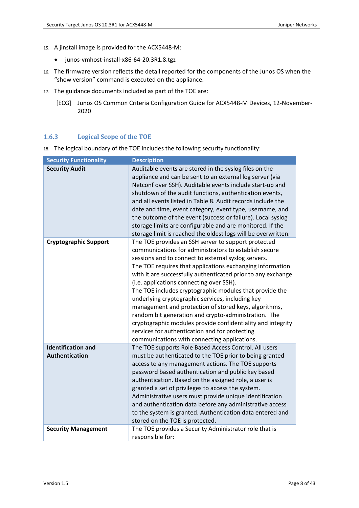- 15. A jinstall image is provided for the ACX5448-M:
	- junos-vmhost-install-x86-64-20.3R1.8.tgz
- 16. The firmware version reflects the detail reported for the components of the Junos OS when the "show version" command is executed on the appliance.
- <span id="page-7-1"></span>17. The guidance documents included as part of the TOE are:
	- [ECG] Junos OS Common Criteria Configuration Guide for ACX5448-M Devices, 12-November-2020

## <span id="page-7-0"></span>**1.6.3 Logical Scope of the TOE**

18. The logical boundary of the TOE includes the following security functionality:

| <b>Security Functionality</b>                      | <b>Description</b>                                                                                                                                                                                                                                                                                                                                                                                                                                                                                                                                                                                                                                                                                                                            |
|----------------------------------------------------|-----------------------------------------------------------------------------------------------------------------------------------------------------------------------------------------------------------------------------------------------------------------------------------------------------------------------------------------------------------------------------------------------------------------------------------------------------------------------------------------------------------------------------------------------------------------------------------------------------------------------------------------------------------------------------------------------------------------------------------------------|
| <b>Security Audit</b>                              | Auditable events are stored in the syslog files on the<br>appliance and can be sent to an external log server (via<br>Netconf over SSH). Auditable events include start-up and<br>shutdown of the audit functions, authentication events,<br>and all events listed in Table 8. Audit records include the<br>date and time, event category, event type, username, and<br>the outcome of the event (success or failure). Local syslog<br>storage limits are configurable and are monitored. If the<br>storage limit is reached the oldest logs will be overwritten.                                                                                                                                                                             |
| <b>Cryptographic Support</b>                       | The TOE provides an SSH server to support protected<br>communications for administrators to establish secure<br>sessions and to connect to external syslog servers.<br>The TOE requires that applications exchanging information<br>with it are successfully authenticated prior to any exchange<br>(i.e. applications connecting over SSH).<br>The TOE includes cryptographic modules that provide the<br>underlying cryptographic services, including key<br>management and protection of stored keys, algorithms,<br>random bit generation and crypto-administration. The<br>cryptographic modules provide confidentiality and integrity<br>services for authentication and for protecting<br>communications with connecting applications. |
| <b>Identification and</b><br><b>Authentication</b> | The TOE supports Role Based Access Control. All users<br>must be authenticated to the TOE prior to being granted<br>access to any management actions. The TOE supports<br>password based authentication and public key based<br>authentication. Based on the assigned role, a user is<br>granted a set of privileges to access the system.<br>Administrative users must provide unique identification<br>and authentication data before any administrative access<br>to the system is granted. Authentication data entered and<br>stored on the TOE is protected.                                                                                                                                                                             |
| <b>Security Management</b>                         | The TOE provides a Security Administrator role that is<br>responsible for:                                                                                                                                                                                                                                                                                                                                                                                                                                                                                                                                                                                                                                                                    |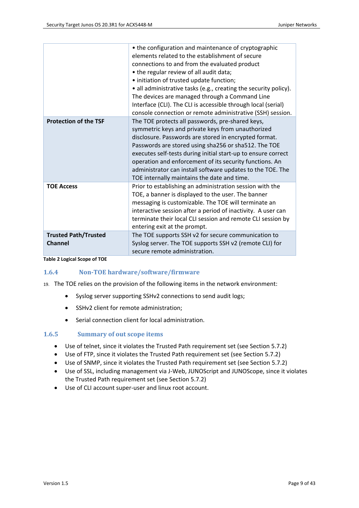|                              | • the configuration and maintenance of cryptographic<br>elements related to the establishment of secure |
|------------------------------|---------------------------------------------------------------------------------------------------------|
|                              | connections to and from the evaluated product                                                           |
|                              | • the regular review of all audit data;                                                                 |
|                              | • initiation of trusted update function;                                                                |
|                              | • all administrative tasks (e.g., creating the security policy).                                        |
|                              | The devices are managed through a Command Line                                                          |
|                              | Interface (CLI). The CLI is accessible through local (serial)                                           |
|                              | console connection or remote administrative (SSH) session.                                              |
| <b>Protection of the TSF</b> | The TOE protects all passwords, pre-shared keys,                                                        |
|                              | symmetric keys and private keys from unauthorized                                                       |
|                              | disclosure. Passwords are stored in encrypted format.                                                   |
|                              | Passwords are stored using sha256 or sha512. The TOE                                                    |
|                              | executes self-tests during initial start-up to ensure correct                                           |
|                              | operation and enforcement of its security functions. An                                                 |
|                              | administrator can install software updates to the TOE. The                                              |
|                              | TOE internally maintains the date and time.                                                             |
| <b>TOE Access</b>            | Prior to establishing an administration session with the                                                |
|                              | TOE, a banner is displayed to the user. The banner                                                      |
|                              | messaging is customizable. The TOE will terminate an                                                    |
|                              | interactive session after a period of inactivity. A user can                                            |
|                              | terminate their local CLI session and remote CLI session by                                             |
|                              | entering exit at the prompt.                                                                            |
| <b>Trusted Path/Trusted</b>  | The TOE supports SSH v2 for secure communication to                                                     |
| <b>Channel</b>               | Syslog server. The TOE supports SSH v2 (remote CLI) for                                                 |
|                              | secure remote administration.                                                                           |

**Table 2 Logical Scope of TOE**

## **1.6.4 Non-TOE hardware/software/firmware**

19. The TOE relies on the provision of the following items in the network environment:

- <span id="page-8-0"></span>• Syslog server supporting SSHv2 connections to send audit logs;
- SSHv2 client for remote administration;
- Serial connection client for local administration.

## <span id="page-8-1"></span>**1.6.5 Summary of out scope items**

- Use of telnet, since it violates the Trusted Path requirement set (see Section [5.7.2\)](#page-26-2)
- Use of FTP, since it violates the Trusted Path requirement set (see Section [5.7.2\)](#page-26-2)
- Use of SNMP, since it violates the Trusted Path requirement set (see Section [5.7.2\)](#page-26-2)
- Use of SSL, including management via J-Web, JUNOScript and JUNOScope, since it violates the Trusted Path requirement set (see Section [5.7.2\)](#page-26-2)
- Use of CLI account super-user and linux root account.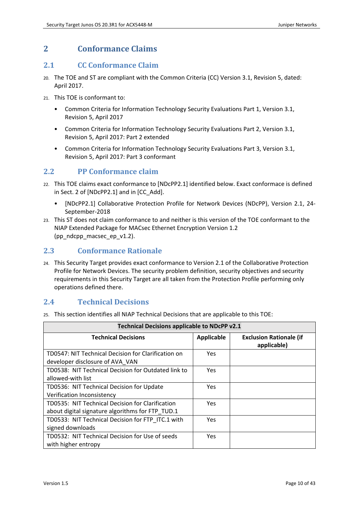# <span id="page-9-0"></span>**2 Conformance Claims**

# <span id="page-9-1"></span>**2.1 CC Conformance Claim**

- 20. The TOE and ST are compliant with the Common Criteria (CC) Version 3.1, Revision 5, dated: April 2017.
- 21. This TOE is conformant to:
	- Common Criteria for Information Technology Security Evaluations Part 1, Version 3.1, Revision 5, April 2017
	- Common Criteria for Information Technology Security Evaluations Part 2, Version 3.1, Revision 5, April 2017: Part 2 extended
	- Common Criteria for Information Technology Security Evaluations Part 3, Version 3.1, Revision 5, April 2017: Part 3 conformant

# <span id="page-9-2"></span>**2.2 PP Conformance claim**

- 22. This TOE claims exact conformance to [NDcPP2.1] identified below. Exact conformace is defined in Sect. 2 of [NDcPP2.1] and in [CC\_Add].
	- [NDcPP2.1] Collaborative Protection Profile for Network Devices (NDcPP), Version 2.1, 24- September-2018
- 23. This ST does not claim conformance to and neither is this version of the TOE conformant to the NIAP Extended Package for MACsec Ethernet Encryption Version 1.2 (pp\_ndcpp\_macsec\_ep\_v1.2).

# <span id="page-9-3"></span>**2.3 Conformance Rationale**

24. This Security Target provides exact conformance to Version 2.1 of the Collaborative Protection Profile for Network Devices. The security problem definition, security objectives and security requirements in this Security Target are all taken from the Protection Profile performing only operations defined there.

# <span id="page-9-4"></span>**2.4 Technical Decisions**

25. This section identifies all NIAP Technical Decisions that are applicable to this TOE:

| Technical Decisions applicable to NDcPP v2.1                                                         |                   |                                               |
|------------------------------------------------------------------------------------------------------|-------------------|-----------------------------------------------|
| <b>Technical Decisions</b>                                                                           | <b>Applicable</b> | <b>Exclusion Rationale (if</b><br>applicable) |
| TD0547: NIT Technical Decision for Clarification on<br>developer disclosure of AVA VAN               | <b>Yes</b>        |                                               |
| TD0538: NIT Technical Decision for Outdated link to<br>allowed-with list                             | <b>Yes</b>        |                                               |
| TD0536: NIT Technical Decision for Update<br>Verification Inconsistency                              | Yes.              |                                               |
| TD0535: NIT Technical Decision for Clarification<br>about digital signature algorithms for FTP TUD.1 | <b>Yes</b>        |                                               |
| TD0533: NIT Technical Decision for FTP ITC.1 with<br>signed downloads                                | <b>Yes</b>        |                                               |
| TD0532: NIT Technical Decision for Use of seeds<br>with higher entropy                               | <b>Yes</b>        |                                               |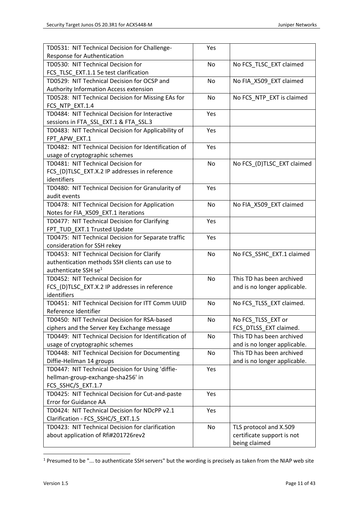| TD0531: NIT Technical Decision for Challenge-        | Yes |                              |
|------------------------------------------------------|-----|------------------------------|
| Response for Authentication                          |     |                              |
| TD0530: NIT Technical Decision for                   | No  | No FCS_TLSC_EXT claimed      |
| FCS TLSC EXT.1.1 5e test clarification               |     |                              |
| TD0529: NIT Technical Decision for OCSP and          | No  | No FIA_X509_EXT claimed      |
| <b>Authority Information Access extension</b>        |     |                              |
| TD0528: NIT Technical Decision for Missing EAs for   | No  | No FCS_NTP_EXT is claimed    |
| FCS NTP EXT.1.4                                      |     |                              |
| TD0484: NIT Technical Decision for Interactive       | Yes |                              |
| sessions in FTA_SSL_EXT.1 & FTA_SSL.3                |     |                              |
| TD0483: NIT Technical Decision for Applicability of  | Yes |                              |
| FPT APW EXT.1                                        |     |                              |
| TD0482: NIT Technical Decision for Identification of | Yes |                              |
| usage of cryptographic schemes                       |     |                              |
| TD0481: NIT Technical Decision for                   | No  | No FCS_(D)TLSC_EXT claimed   |
| FCS_(D)TLSC_EXT.X.2 IP addresses in reference        |     |                              |
| identifiers                                          |     |                              |
| TD0480: NIT Technical Decision for Granularity of    | Yes |                              |
| audit events                                         |     |                              |
| TD0478: NIT Technical Decision for Application       | No  | No FIA_X509_EXT claimed      |
| Notes for FIA_X509_EXT.1 iterations                  |     |                              |
| TD0477: NIT Technical Decision for Clarifying        | Yes |                              |
| FPT_TUD_EXT.1 Trusted Update                         |     |                              |
| TD0475: NIT Technical Decision for Separate traffic  | Yes |                              |
| consideration for SSH rekey                          |     |                              |
| TD0453: NIT Technical Decision for Clarify           | No  | No FCS_SSHC_EXT.1 claimed    |
| authentication methods SSH clients can use to        |     |                              |
| authenticate SSH se <sup>1</sup>                     |     |                              |
| TD0452: NIT Technical Decision for                   | No  | This TD has been archived    |
| FCS_(D)TLSC_EXT.X.2 IP addresses in reference        |     | and is no longer applicable. |
| identifiers                                          |     |                              |
| TD0451: NIT Technical Decision for ITT Comm UUID     | No  | No FCS_TLSS_EXT claimed.     |
| Reference Identifier                                 |     |                              |
| TD0450: NIT Technical Decision for RSA-based         | No  | No FCS_TLSS_EXT or           |
| ciphers and the Server Key Exchange message          |     | FCS_DTLSS_EXT claimed.       |
| TD0449: NIT Technical Decision for Identification of | No  | This TD has been archived    |
| usage of cryptographic schemes                       |     | and is no longer applicable. |
| TD0448: NIT Technical Decision for Documenting       | No  | This TD has been archived    |
| Diffie-Hellman 14 groups                             |     | and is no longer applicable. |
| TD0447: NIT Technical Decision for Using 'diffie-    | Yes |                              |
| hellman-group-exchange-sha256' in                    |     |                              |
| FCS_SSHC/S_EXT.1.7                                   |     |                              |
| TD0425: NIT Technical Decision for Cut-and-paste     | Yes |                              |
| <b>Error for Guidance AA</b>                         |     |                              |
| TD0424: NIT Technical Decision for NDcPP v2.1        | Yes |                              |
| Clarification - FCS_SSHC/S_EXT.1.5                   |     |                              |
| TD0423: NIT Technical Decision for clarification     | No  | TLS protocol and X.509       |
| about application of Rfi#201726rev2                  |     | certificate support is not   |
|                                                      |     | being claimed                |

<sup>1</sup> Presumed to be "... to authenticate SSH servers" but the wording is precisely as taken from the NIAP web site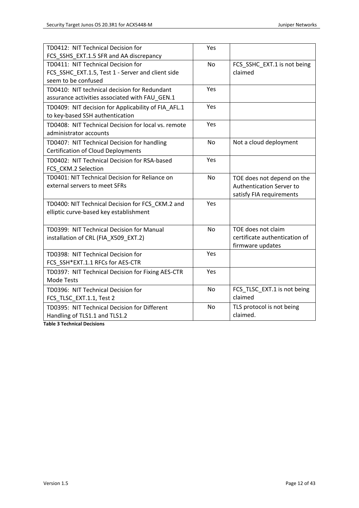| TD0412: NIT Technical Decision for                  | Yes       |                                 |
|-----------------------------------------------------|-----------|---------------------------------|
| FCS_SSHS_EXT.1.5 SFR and AA discrepancy             |           |                                 |
| TD0411: NIT Technical Decision for                  | <b>No</b> | FCS_SSHC_EXT.1 is not being     |
| FCS_SSHC_EXT.1.5, Test 1 - Server and client side   |           | claimed                         |
| seem to be confused                                 |           |                                 |
| TD0410: NIT technical decision for Redundant        | Yes       |                                 |
| assurance activities associated with FAU GEN.1      |           |                                 |
| TD0409: NIT decision for Applicability of FIA_AFL.1 | Yes       |                                 |
| to key-based SSH authentication                     |           |                                 |
| TD0408: NIT Technical Decision for local vs. remote | Yes       |                                 |
| administrator accounts                              |           |                                 |
| TD0407: NIT Technical Decision for handling         | No        | Not a cloud deployment          |
| <b>Certification of Cloud Deployments</b>           |           |                                 |
| TD0402: NIT Technical Decision for RSA-based        | Yes       |                                 |
| FCS_CKM.2 Selection                                 |           |                                 |
| TD0401: NIT Technical Decision for Reliance on      | No        | TOE does not depend on the      |
| external servers to meet SFRs                       |           | <b>Authentication Server to</b> |
|                                                     |           | satisfy FIA requirements        |
| TD0400: NIT Technical Decision for FCS_CKM.2 and    | Yes       |                                 |
| elliptic curve-based key establishment              |           |                                 |
|                                                     |           |                                 |
| TD0399: NIT Technical Decision for Manual           | <b>No</b> | TOE does not claim              |
| installation of CRL (FIA_X509_EXT.2)                |           | certificate authentication of   |
|                                                     |           | firmware updates                |
| TD0398: NIT Technical Decision for                  | Yes       |                                 |
| FCS SSH*EXT.1.1 RFCs for AES-CTR                    |           |                                 |
| TD0397: NIT Technical Decision for Fixing AES-CTR   | Yes       |                                 |
| Mode Tests                                          |           |                                 |
| TD0396: NIT Technical Decision for                  | No        | FCS_TLSC_EXT.1 is not being     |
| FCS_TLSC_EXT.1.1, Test 2                            |           | claimed                         |
| TD0395: NIT Technical Decision for Different        | <b>No</b> | TLS protocol is not being       |
| Handling of TLS1.1 and TLS1.2                       |           | claimed.                        |

**Table 3 Technical Decisions**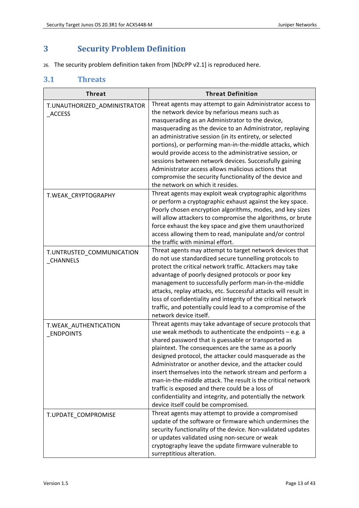# <span id="page-12-0"></span>**3 Security Problem Definition**

26. The security problem definition taken from [NDcPP v2.1] is reproduced here.

# <span id="page-12-1"></span>**3.1 Threats**

| <b>Threat</b>                                 | <b>Threat Definition</b>                                                                                                                                                                                                                                                                                                                                                                                                                                                                                                                                                                                                                     |
|-----------------------------------------------|----------------------------------------------------------------------------------------------------------------------------------------------------------------------------------------------------------------------------------------------------------------------------------------------------------------------------------------------------------------------------------------------------------------------------------------------------------------------------------------------------------------------------------------------------------------------------------------------------------------------------------------------|
| T.UNAUTHORIZED_ADMINISTRATOR<br><b>ACCESS</b> | Threat agents may attempt to gain Administrator access to<br>the network device by nefarious means such as<br>masquerading as an Administrator to the device,<br>masquerading as the device to an Administrator, replaying<br>an administrative session (in its entirety, or selected<br>portions), or performing man-in-the-middle attacks, which<br>would provide access to the administrative session, or<br>sessions between network devices. Successfully gaining<br>Administrator access allows malicious actions that<br>compromise the security functionality of the device and<br>the network on which it resides.                  |
| T.WEAK_CRYPTOGRAPHY                           | Threat agents may exploit weak cryptographic algorithms<br>or perform a cryptographic exhaust against the key space.<br>Poorly chosen encryption algorithms, modes, and key sizes<br>will allow attackers to compromise the algorithms, or brute<br>force exhaust the key space and give them unauthorized<br>access allowing them to read, manipulate and/or control<br>the traffic with minimal effort.                                                                                                                                                                                                                                    |
| T.UNTRUSTED_COMMUNICATION<br><b>CHANNELS</b>  | Threat agents may attempt to target network devices that<br>do not use standardized secure tunnelling protocols to<br>protect the critical network traffic. Attackers may take<br>advantage of poorly designed protocols or poor key<br>management to successfully perform man-in-the-middle<br>attacks, replay attacks, etc. Successful attacks will result in<br>loss of confidentiality and integrity of the critical network<br>traffic, and potentially could lead to a compromise of the<br>network device itself.                                                                                                                     |
| T.WEAK_AUTHENTICATION<br><b>ENDPOINTS</b>     | Threat agents may take advantage of secure protocols that<br>use weak methods to authenticate the endpoints - e.g. a<br>shared password that is guessable or transported as<br>plaintext. The consequences are the same as a poorly<br>designed protocol, the attacker could masquerade as the<br>Administrator or another device, and the attacker could<br>insert themselves into the network stream and perform a<br>man-in-the-middle attack. The result is the critical network<br>traffic is exposed and there could be a loss of<br>confidentiality and integrity, and potentially the network<br>device itself could be compromised. |
| T.UPDATE_COMPROMISE                           | Threat agents may attempt to provide a compromised<br>update of the software or firmware which undermines the<br>security functionality of the device. Non-validated updates<br>or updates validated using non-secure or weak<br>cryptography leave the update firmware vulnerable to<br>surreptitious alteration.                                                                                                                                                                                                                                                                                                                           |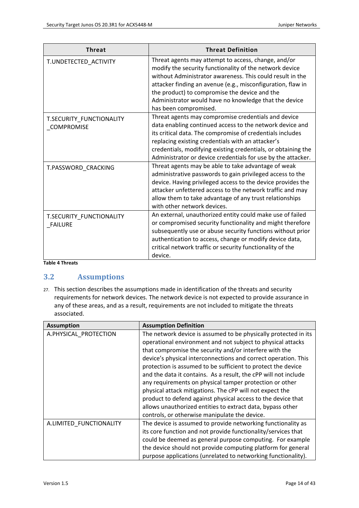| <b>Threat</b>                                 | <b>Threat Definition</b>                                                                                                                                                                                                                                                                                                                                                      |
|-----------------------------------------------|-------------------------------------------------------------------------------------------------------------------------------------------------------------------------------------------------------------------------------------------------------------------------------------------------------------------------------------------------------------------------------|
| T.UNDETECTED ACTIVITY                         | Threat agents may attempt to access, change, and/or<br>modify the security functionality of the network device<br>without Administrator awareness. This could result in the<br>attacker finding an avenue (e.g., misconfiguration, flaw in<br>the product) to compromise the device and the<br>Administrator would have no knowledge that the device<br>has been compromised. |
| T.SECURITY_FUNCTIONALITY<br><b>COMPROMISE</b> | Threat agents may compromise credentials and device<br>data enabling continued access to the network device and<br>its critical data. The compromise of credentials includes<br>replacing existing credentials with an attacker's<br>credentials, modifying existing credentials, or obtaining the<br>Administrator or device credentials for use by the attacker.            |
| T.PASSWORD CRACKING                           | Threat agents may be able to take advantage of weak<br>administrative passwords to gain privileged access to the<br>device. Having privileged access to the device provides the<br>attacker unfettered access to the network traffic and may<br>allow them to take advantage of any trust relationships<br>with other network devices.                                        |
| T.SECURITY_FUNCTIONALITY<br><b>FAILURE</b>    | An external, unauthorized entity could make use of failed<br>or compromised security functionality and might therefore<br>subsequently use or abuse security functions without prior<br>authentication to access, change or modify device data,<br>critical network traffic or security functionality of the<br>device.                                                       |

**Table 4 Threats**

# <span id="page-13-0"></span>**3.2 Assumptions**

27. This section describes the assumptions made in identification of the threats and security requirements for network devices. The network device is not expected to provide assurance in any of these areas, and as a result, requirements are not included to mitigate the threats associated.

| <b>Assumption</b>       | <b>Assumption Definition</b>                                    |  |  |
|-------------------------|-----------------------------------------------------------------|--|--|
| A.PHYSICAL PROTECTION   | The network device is assumed to be physically protected in its |  |  |
|                         | operational environment and not subject to physical attacks     |  |  |
|                         | that compromise the security and/or interfere with the          |  |  |
|                         | device's physical interconnections and correct operation. This  |  |  |
|                         | protection is assumed to be sufficient to protect the device    |  |  |
|                         | and the data it contains. As a result, the cPP will not include |  |  |
|                         | any requirements on physical tamper protection or other         |  |  |
|                         | physical attack mitigations. The cPP will not expect the        |  |  |
|                         | product to defend against physical access to the device that    |  |  |
|                         | allows unauthorized entities to extract data, bypass other      |  |  |
|                         | controls, or otherwise manipulate the device.                   |  |  |
| A.LIMITED FUNCTIONALITY | The device is assumed to provide networking functionality as    |  |  |
|                         | its core function and not provide functionality/services that   |  |  |
|                         | could be deemed as general purpose computing. For example       |  |  |
|                         | the device should not provide computing platform for general    |  |  |
|                         | purpose applications (unrelated to networking functionality).   |  |  |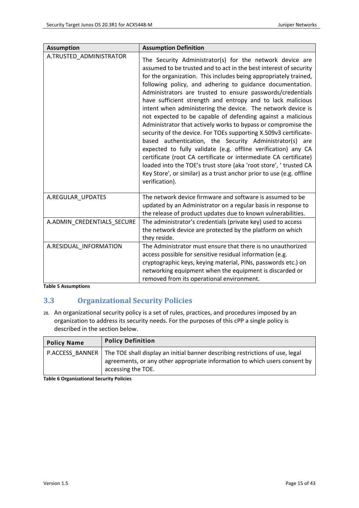| <b>Assumption</b>          | <b>Assumption Definition</b>                                                                                                                                                                                                                                                                                                                                                                                                                                                                                                                                                                                                                                                                                                                                                                                                                                                                                                                                                                                                 |
|----------------------------|------------------------------------------------------------------------------------------------------------------------------------------------------------------------------------------------------------------------------------------------------------------------------------------------------------------------------------------------------------------------------------------------------------------------------------------------------------------------------------------------------------------------------------------------------------------------------------------------------------------------------------------------------------------------------------------------------------------------------------------------------------------------------------------------------------------------------------------------------------------------------------------------------------------------------------------------------------------------------------------------------------------------------|
| A.TRUSTED_ADMINISTRATOR    | The Security Administrator(s) for the network device are<br>assumed to be trusted and to act in the best interest of security<br>for the organization. This includes being appropriately trained,<br>following policy, and adhering to guidance documentation.<br>Administrators are trusted to ensure passwords/credentials<br>have sufficient strength and entropy and to lack malicious<br>intent when administering the device. The network device is<br>not expected to be capable of defending against a malicious<br>Administrator that actively works to bypass or compromise the<br>security of the device. For TOEs supporting X.509v3 certificate-<br>based authentication, the Security Administrator(s) are<br>expected to fully validate (e.g. offline verification) any CA<br>certificate (root CA certificate or intermediate CA certificate)<br>loaded into the TOE's trust store (aka 'root store', ' trusted CA<br>Key Store', or similar) as a trust anchor prior to use (e.g. offline<br>verification). |
| A.REGULAR_UPDATES          | The network device firmware and software is assumed to be<br>updated by an Administrator on a regular basis in response to<br>the release of product updates due to known vulnerabilities.                                                                                                                                                                                                                                                                                                                                                                                                                                                                                                                                                                                                                                                                                                                                                                                                                                   |
| A.ADMIN_CREDENTIALS_SECURE | The administrator's credentials (private key) used to access<br>the network device are protected by the platform on which<br>they reside.                                                                                                                                                                                                                                                                                                                                                                                                                                                                                                                                                                                                                                                                                                                                                                                                                                                                                    |
| A.RESIDUAL INFORMATION     | The Administrator must ensure that there is no unauthorized<br>access possible for sensitive residual information (e.g.<br>cryptographic keys, keying material, PINs, passwords etc.) on<br>networking equipment when the equipment is discarded or<br>removed from its operational environment.                                                                                                                                                                                                                                                                                                                                                                                                                                                                                                                                                                                                                                                                                                                             |

**Table 5 Assumptions**

# <span id="page-14-0"></span>**3.3 Organizational Security Policies**

28. An organizational security policy is a set of rules, practices, and procedures imposed by an organization to address its security needs. For the purposes of this cPP a single policy is described in the section below.

| <b>Policy Name</b> | <b>Policy Definition</b>                                                                                                                                                                            |
|--------------------|-----------------------------------------------------------------------------------------------------------------------------------------------------------------------------------------------------|
|                    | P.ACCESS BANNER   The TOE shall display an initial banner describing restrictions of use, legal<br>agreements, or any other appropriate information to which users consent by<br>accessing the TOE. |

**Table 6 Organizational Security Policies**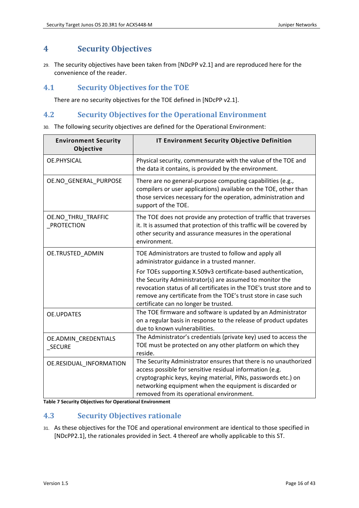# <span id="page-15-0"></span>**4 Security Objectives**

29. The security objectives have been taken from [NDcPP v2.1] and are reproduced here for the convenience of the reader.

# <span id="page-15-1"></span>**4.1 Security Objectives for the TOE**

There are no security objectives for the TOE defined in [NDcPP v2.1].

# <span id="page-15-2"></span>**4.2 Security Objectives for the Operational Environment**

30. The following security objectives are defined for the Operational Environment:

| <b>Environment Security</b><br>Objective | IT Environment Security Objective Definition                                                                                                                                                                                                                                                                  |  |
|------------------------------------------|---------------------------------------------------------------------------------------------------------------------------------------------------------------------------------------------------------------------------------------------------------------------------------------------------------------|--|
| OE.PHYSICAL                              | Physical security, commensurate with the value of the TOE and<br>the data it contains, is provided by the environment.                                                                                                                                                                                        |  |
| OE.NO_GENERAL_PURPOSE                    | There are no general-purpose computing capabilities (e.g.,<br>compilers or user applications) available on the TOE, other than<br>those services necessary for the operation, administration and<br>support of the TOE.                                                                                       |  |
| OE.NO_THRU_TRAFFIC<br>PROTECTION         | The TOE does not provide any protection of traffic that traverses<br>it. It is assumed that protection of this traffic will be covered by<br>other security and assurance measures in the operational<br>environment.                                                                                         |  |
| OE.TRUSTED ADMIN                         | TOE Administrators are trusted to follow and apply all<br>administrator guidance in a trusted manner.                                                                                                                                                                                                         |  |
|                                          | For TOEs supporting X.509v3 certificate-based authentication,<br>the Security Administrator(s) are assumed to monitor the<br>revocation status of all certificates in the TOE's trust store and to<br>remove any certificate from the TOE's trust store in case such<br>certificate can no longer be trusted. |  |
| <b>OE.UPDATES</b>                        | The TOE firmware and software is updated by an Administrator<br>on a regular basis in response to the release of product updates<br>due to known vulnerabilities.                                                                                                                                             |  |
| OE.ADMIN_CREDENTIALS<br>_SECURE          | The Administrator's credentials (private key) used to access the<br>TOE must be protected on any other platform on which they<br>reside.                                                                                                                                                                      |  |
| OE.RESIDUAL INFORMATION                  | The Security Administrator ensures that there is no unauthorized<br>access possible for sensitive residual information (e.g.<br>cryptographic keys, keying material, PINs, passwords etc.) on<br>networking equipment when the equipment is discarded or<br>removed from its operational environment.         |  |

**Table 7 Security Objectives for Operational Environment**

# <span id="page-15-3"></span>**4.3 Security Objectives rationale**

31. As these objectives for the TOE and operational environment are identical to those specified in [\[NDcPP2.1\],](#page-1-0) the rationales provided in Sect. 4 thereof are wholly applicable to this ST.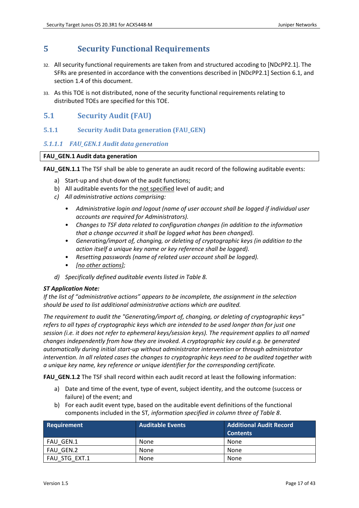# <span id="page-16-0"></span>**5 Security Functional Requirements**

- 32. All security functional requirements are taken from and structured accoding to [\[NDcPP2.1\].](#page-1-0) The SFRs are presented in accordance with the conventions described in [\[NDcPP2.1\]](#page-1-0) Section 6.1, and sectio[n 1.4](#page-4-4) of this document.
- 33. As this TOE is not distributed, none of the security functional requirements relating to distributed TOEs are specified for this TOE.

# <span id="page-16-1"></span>**5.1 Security Audit (FAU)**

<span id="page-16-2"></span>**5.1.1 Security Audit Data generation (FAU\_GEN)**

# *5.1.1.1 FAU\_GEN.1 Audit data generation*

# **FAU\_GEN.1 Audit data generation**

**FAU GEN.1.1** The TSF shall be able to generate an audit record of the following auditable events:

- a) Start-up and shut-down of the audit functions;
- b) All auditable events for the not specified level of audit; and
- *c) All administrative actions comprising:*
	- *Administrative login and logout (name of user account shall be logged if individual user accounts are required for Administrators).*
	- *Changes to TSF data related to configuration changes (in addition to the information that a change occurred it shall be logged what has been changed).*
	- *Generating/import of, changing, or deleting of cryptographic keys (in addition to the action itself a unique key name or key reference shall be logged).*
	- *Resetting passwords (name of related user account shall be logged).*
	- *[no other actions];*
- *d) Specifically defined auditable events listed i[n Table 8.](#page-18-1)*

## *ST Application Note:*

*If the list of "administrative actions" appears to be incomplete, the assignment in the selection should be used to list additional administrative actions which are audited.* 

*The requirement to audit the "Generating/import of, changing, or deleting of cryptographic keys" refers to all types of cryptographic keys which are intended to be used longer than for just one session (i.e. it does not refer to ephemeral keys/session keys). The requirement applies to all named changes independently from how they are invoked. A cryptographic key could e.g. be generated automatically during initial start-up without administrator intervention or through administrator intervention. In all related cases the changes to cryptographic keys need to be audited together with a unique key name, key reference or unique identifier for the corresponding certificate.* 

**FAU\_GEN.1.2** The TSF shall record within each audit record at least the following information:

- a) Date and time of the event, type of event, subject identity, and the outcome (success or failure) of the event; and
- b) For each audit event type, based on the auditable event definitions of the functional components included in the ST*, information specified in column three of [Table 8](#page-18-1)*.

| Requirement   | <b>Additional Audit Record</b><br>Auditable Events |                 |
|---------------|----------------------------------------------------|-----------------|
|               |                                                    | <b>Contents</b> |
| FAU GEN.1     | None                                               | None            |
| FAU GEN.2     | None                                               | None            |
| FAU STG EXT.1 | None                                               | None            |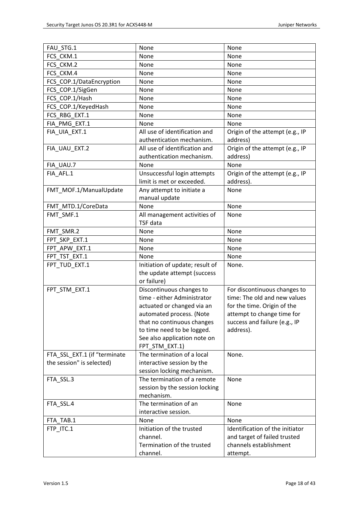| FAU STG.1                    | None                            | None                            |  |
|------------------------------|---------------------------------|---------------------------------|--|
| FCS CKM.1                    | None                            | None                            |  |
| FCS CKM.2                    | None                            | None                            |  |
| FCS CKM.4                    | None                            | None                            |  |
| FCS_COP.1/DataEncryption     | None                            | None                            |  |
| FCS_COP.1/SigGen             | None                            | None                            |  |
| FCS_COP.1/Hash               | None                            | None                            |  |
| FCS_COP.1/KeyedHash          | None                            | None                            |  |
| FCS RBG EXT.1                | None                            | None                            |  |
| FIA PMG EXT.1                | None                            | None                            |  |
| FIA_UIA_EXT.1                | All use of identification and   | Origin of the attempt (e.g., IP |  |
|                              | authentication mechanism.       | address)                        |  |
| FIA_UAU_EXT.2                | All use of identification and   | Origin of the attempt (e.g., IP |  |
|                              | authentication mechanism.       | address)                        |  |
| FIA_UAU.7                    | None                            | None                            |  |
| FIA AFL.1                    | Unsuccessful login attempts     | Origin of the attempt (e.g., IP |  |
|                              | limit is met or exceeded.       | address).                       |  |
| FMT_MOF.1/ManualUpdate       | Any attempt to initiate a       | None                            |  |
|                              | manual update                   |                                 |  |
| FMT_MTD.1/CoreData           | None                            | None                            |  |
| FMT_SMF.1                    | All management activities of    | None                            |  |
|                              | <b>TSF</b> data                 |                                 |  |
| FMT_SMR.2                    | None                            | None                            |  |
| FPT_SKP_EXT.1                | None                            | None                            |  |
| FPT_APW_EXT.1                | None                            | None                            |  |
| FPT TST EXT.1                | None                            | None                            |  |
| FPT_TUD_EXT.1                | Initiation of update; result of | None.                           |  |
|                              | the update attempt (success     |                                 |  |
|                              | or failure)                     |                                 |  |
| FPT STM EXT.1                | Discontinuous changes to        | For discontinuous changes to    |  |
|                              | time - either Administrator     | time: The old and new values    |  |
|                              | actuated or changed via an      | for the time. Origin of the     |  |
|                              | automated process. (Note        | attempt to change time for      |  |
|                              | that no continuous changes      | success and failure (e.g., IP   |  |
|                              | to time need to be logged.      | address).                       |  |
|                              | See also application note on    |                                 |  |
|                              | FPT_STM_EXT.1)                  |                                 |  |
| FTA SSL EXT.1 (if "terminate | The termination of a local      | None.                           |  |
| the session" is selected)    | interactive session by the      |                                 |  |
|                              | session locking mechanism.      |                                 |  |
| FTA_SSL.3                    | The termination of a remote     | None                            |  |
|                              | session by the session locking  |                                 |  |
|                              | mechanism.                      |                                 |  |
| FTA_SSL.4                    | The termination of an           | None                            |  |
|                              | interactive session.            |                                 |  |
| FTA TAB.1                    | None                            | None                            |  |
| FTP_ITC.1                    | Initiation of the trusted       | Identification of the initiator |  |
|                              | channel.                        | and target of failed trusted    |  |
|                              | Termination of the trusted      | channels establishment          |  |
|                              | channel.                        |                                 |  |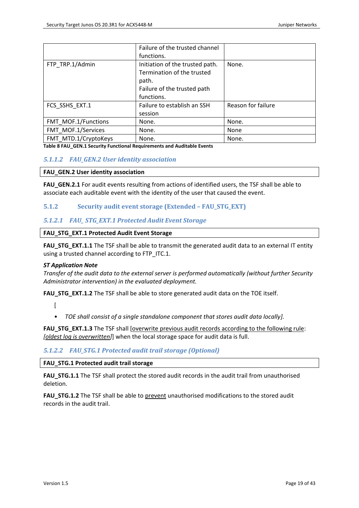|                      | Failure of the trusted channel  |                    |
|----------------------|---------------------------------|--------------------|
|                      | functions.                      |                    |
| FTP TRP.1/Admin      | Initiation of the trusted path. | None.              |
|                      | Termination of the trusted      |                    |
|                      | path.                           |                    |
|                      | Failure of the trusted path     |                    |
|                      | functions.                      |                    |
| FCS SSHS EXT.1       | Failure to establish an SSH     | Reason for failure |
|                      | session                         |                    |
| FMT MOF.1/Functions  | None.                           | None.              |
| FMT MOF.1/Services   | None.                           | None               |
| FMT_MTD.1/CryptoKeys | None.                           | None.              |

<span id="page-18-1"></span>**Table 8 FAU\_GEN.1 Security Functional Requirements and Auditable Events**

## *5.1.1.2 FAU\_GEN.2 User identity association*

#### **FAU\_GEN.2 User identity association**

**FAU\_GEN.2.1** For audit events resulting from actions of identified users, the TSF shall be able to associate each auditable event with the identity of the user that caused the event.

## <span id="page-18-0"></span>**5.1.2 Security audit event storage (Extended – FAU\_STG\_EXT)**

## *5.1.2.1 FAU\_ STG\_EXT.1 Protected Audit Event Storage*

#### **FAU\_STG\_EXT.1 Protected Audit Event Storage**

**FAU\_STG\_EXT.1.1** The TSF shall be able to transmit the generated audit data to an external IT entity using a trusted channel according to FTP\_ITC.1.

#### *ST Application Note*

*Transfer of the audit data to the external server is performed automatically (without further Security Administrator intervention) in the evaluated deployment.*

**FAU\_STG\_EXT.1.2** The TSF shall be able to store generated audit data on the TOE itself.

 $\lceil$ 

• *TOE shall consist of a single standalone component that stores audit data locally].*

**FAU STG EXT.1.3** The TSF shall [overwrite previous audit records according to the following rule: *[oldest log is overwritten]*] when the local storage space for audit data is full.

## *5.1.2.2 FAU\_STG.1 Protected audit trail storage (Optional)*

**FAU\_STG.1 Protected audit trail storage**

**FAU STG.1.1** The TSF shall protect the stored audit records in the audit trail from unauthorised deletion.

**FAU\_STG.1.2** The TSF shall be able to prevent unauthorised modifications to the stored audit records in the audit trail.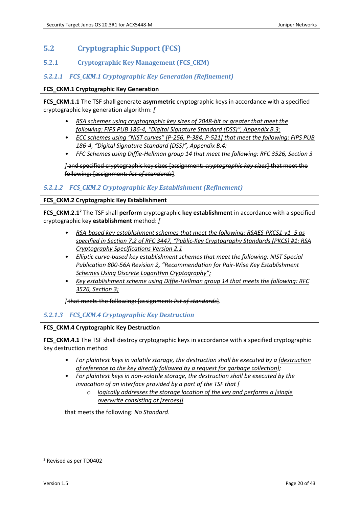# <span id="page-19-0"></span>**5.2 Cryptographic Support (FCS)**

## <span id="page-19-1"></span>**5.2.1 Cryptographic Key Management (FCS\_CKM)**

## *5.2.1.1 FCS\_CKM.1 Cryptographic Key Generation (Refinement)*

#### **FCS\_CKM.1 Cryptographic Key Generation**

**FCS\_CKM.1.1** The TSF shall generate **asymmetric** cryptographic keys in accordance with a specified cryptographic key generation algorithm: *[*

- *RSA schemes using cryptographic key sizes of 2048-bit or greater that meet the following: FIPS PUB 186-4, "Digital Signature Standard (DSS)", Appendix B.3;*
- *ECC schemes using "NIST curves" [P-256, P-384, P-521] that meet the following: FIPS PUB 186-4, "Digital Signature Standard (DSS)", Appendix B.4;*
- *FFC Schemes using Diffie-Hellman group 14 that meet the following: RFC 3526, Section 3*

*]* and specified cryptographic key sizes [assignment: *cryptographic key sizes*] that meet the following: [assignment: *list of standards*].

## *5.2.1.2 FCS\_CKM.2 Cryptographic Key Establishment (Refinement)*

#### **FCS\_CKM.2 Cryptographic Key Establishment**

**FCS\_CKM.2.1<sup>2</sup>** The TSF shall **perform** cryptographic **key establishment** in accordance with a specified cryptographic key **establishment** method: *[*

- *RSA-based key establishment schemes that meet the following: RSAES-PKCS1-v1\_5 as specified in Section 7.2 of RFC 3447, "Public-Key Cryptography Standards (PKCS) #1: RSA Cryptography Specifications Version 2.1*
- *Elliptic curve-based key establishment schemes that meet the following: NIST Special Publication 800-56A Revision 2, "Recommendation for Pair-Wise Key Establishment Schemes Using Discrete Logarithm Cryptography";*
- *Key establishment scheme using Diffie-Hellman group 14 that meets the following: RFC 3526, Section 3;*

*]* that meets the following: [assignment: *list of standards*].

## *5.2.1.3 FCS\_CKM.4 Cryptographic Key Destruction*

#### **FCS\_CKM.4 Cryptographic Key Destruction**

**FCS CKM.4.1** The TSF shall destroy cryptographic keys in accordance with a specified cryptographic key destruction method

- *For plaintext keys in volatile storage, the destruction shall be executed by a [destruction of reference to the key directly followed by a request for garbage collection];*
- *For plaintext keys in non-volatile storage, the destruction shall be executed by the invocation of an interface provided by a part of the TSF that [*
	- o *logically addresses the storage location of the key and performs a [single overwrite consisting of [zeroes]]*

that meets the following: *No Standard*.

<sup>2</sup> Revised as per TD0402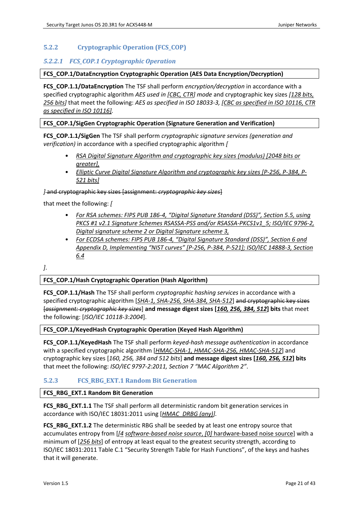# <span id="page-20-0"></span>**5.2.2 Cryptographic Operation (FCS\_COP)**

## *5.2.2.1 FCS\_COP.1 Cryptographic Operation*

#### **FCS\_COP.1/DataEncryption Cryptographic Operation (AES Data Encryption/Decryption)**

**FCS\_COP.1.1/DataEncryption** The TSF shall perform *encryption/decryption* in accordance with a specified cryptographic algorithm *AES used in [CBC, CTR] mode* and cryptographic key sizes *[128 bits, 256 bits]* that meet the following: *AES as specified in ISO 18033-3, [CBC as specified in ISO 10116, CTR as specified in ISO 10116].*

#### **FCS\_COP.1/SigGen Cryptographic Operation (Signature Generation and Verification)**

**FCS\_COP.1.1/SigGen** The TSF shall perform *cryptographic signature services (generation and verification)* in accordance with a specified cryptographic algorithm *[* 

- *RSA Digital Signature Algorithm and cryptographic key sizes (modulus) [2048 bits or greater],*
- *Elliptic Curve Digital Signature Algorithm and cryptographic key sizes [P-256, P-384, P-521 bits]*

*]* and cryptographic key sizes [assignment: *cryptographic key sizes*]

that meet the following: *[*

- *For RSA schemes: FIPS PUB 186-4, "Digital Signature Standard (DSS)", Section 5.5, using PKCS #1 v2.1 Signature Schemes RSASSA-PSS and/or RSASSA-PKCS1v1\_5; ISO/IEC 9796-2, Digital signature scheme 2 or Digital Signature scheme 3,*
- *For ECDSA schemes: FIPS PUB 186-4, "Digital Signature Standard (DSS)", Section 6 and Appendix D, Implementing "NIST curves" [P-256, P-384, P-521]; ISO/IEC 14888-3, Section 6.4*

*]*.

#### **FCS\_COP.1/Hash Cryptographic Operation (Hash Algorithm)**

**FCS\_COP.1.1/Hash** The TSF shall perform *cryptographic hashing services* in accordance with a specified cryptographic algorithm [*SHA-1, SHA-256, SHA-384, SHA-512*] and cryptographic key sizes [*assignment: cryptographic key sizes*] **and message digest sizes [***160, 256, 384, 512***] bits** that meet the following: [*ISO/IEC 10118-3:2004*].

#### **FCS\_COP.1/KeyedHash Cryptographic Operation (Keyed Hash Algorithm)**

**FCS\_COP.1.1/KeyedHash** The TSF shall perform *keyed-hash message authentication* in accordance with a specified cryptographic algorithm [*HMAC-SHA-1, HMAC-SHA-256, HMAC-SHA-512*] and cryptographic key sizes [*160, 256, 384 and 512 bits*] **and message digest sizes [***160, 256, 512***] bits**  that meet the following: *ISO/IEC 9797-2:2011, Section 7 "MAC Algorithm 2"*.

## <span id="page-20-1"></span>**5.2.3 FCS\_RBG\_EXT.1 Random Bit Generation**

#### **FCS\_RBG\_EXT.1 Random Bit Generation**

**FCS\_RBG\_EXT.1.1** The TSF shall perform all deterministic random bit generation services in accordance with ISO/IEC 18031:2011 using [*HMAC\_DRBG (any)].*

**FCS\_RBG\_EXT.1.2** The deterministic RBG shall be seeded by at least one entropy source that accumulates entropy from [*[4 software-based noise source*, *[0]* hardware-based noise source] with a minimum of [*256 bits*] of entropy at least equal to the greatest security strength, according to ISO/IEC 18031:2011 Table C.1 "Security Strength Table for Hash Functions", of the keys and hashes that it will generate.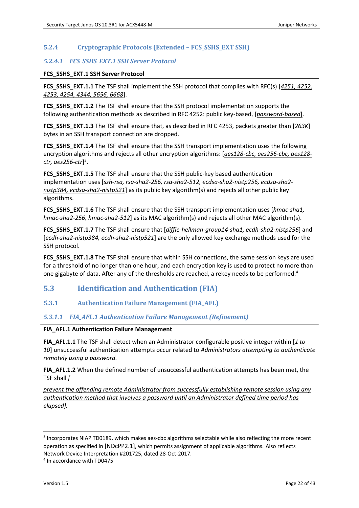# <span id="page-21-0"></span>**5.2.4 Cryptographic Protocols (Extended – FCS\_SSHS\_EXT SSH)**

## *5.2.4.1 FCS\_SSHS\_EXT.1 SSH Server Protocol*

#### **FCS\_SSHS\_EXT.1 SSH Server Protocol**

**FCS\_SSHS\_EXT.1.1** The TSF shall implement the SSH protocol that complies with RFC(s) [*4251, 4252, 4253, 4254, 4344, 5656, 6668*].

**FCS SSHS EXT.1.2** The TSF shall ensure that the SSH protocol implementation supports the following authentication methods as described in RFC 4252: public key-based, [*password-based*].

**FCS\_SSHS\_EXT.1.3** The TSF shall ensure that, as described in RFC 4253, packets greater than [*263K*] bytes in an SSH transport connection are dropped.

**FCS\_SSHS\_EXT.1.4** The TSF shall ensure that the SSH transport implementation uses the following encryption algorithms and rejects all other encryption algorithms: [*aes128-cbc, aes256-cbc, aes128 ctr, aes256-ctr*] 3 .

**FCS\_SSHS\_EXT.1.5** The TSF shall ensure that the SSH public-key based authentication implementation uses [*ssh-rsa, rsa-sha2-256, rsa-sha2-512, ecdsa-sha2-nistp256, ecdsa-sha2 nistp384, ecdsa-sha2-nistp521*] as its public key algorithm(s) and rejects all other public key algorithms.

**FCS\_SSHS\_EXT.1.6** The TSF shall ensure that the SSH transport implementation uses [*hmac-sha1, hmac-sha2-256, hmac-sha2-512*] as its MAC algorithm(s) and rejects all other MAC algorithm(s).

**FCS\_SSHS\_EXT.1.7** The TSF shall ensure that [*diffie-hellman-group14-sha1, ecdh-sha2-nistp256*] and [*ecdh-sha2-nistp384, ecdh-sha2-nistp521*] are the only allowed key exchange methods used for the SSH protocol.

**FCS\_SSHS\_EXT.1.8** The TSF shall ensure that within SSH connections, the same session keys are used for a threshold of no longer than one hour, and each encryption key is used to protect no more than one gigabyte of data. After any of the thresholds are reached, a rekey needs to be performed.<sup>4</sup>

# <span id="page-21-1"></span>**5.3 Identification and Authentication (FIA)**

## <span id="page-21-2"></span>**5.3.1 Authentication Failure Management (FIA\_AFL)**

## *5.3.1.1 FIA\_AFL.1 Authentication Failure Management (Refinement)*

#### **FIA\_AFL.1 Authentication Failure Management**

**FIA\_AFL.1.1** The TSF shall detect when an Administrator configurable positive integer within [*1 to 10*] unsuccessful authentication attempts occur related to *Administrators attempting to authenticate remotely using a password.*

**FIA\_AFL.1.2** When the defined number of unsuccessful authentication attempts has been met, the TSF shall *[* 

*prevent the offending remote Administrator from successfully establishing remote session using any authentication method that involves a password until an Administrator defined time period has elapsed].*

<sup>&</sup>lt;sup>3</sup> Incorporates NIAP TD0189, which makes aes-cbc algorithms selectable while also reflecting the more recent operation as specified in [\[NDcPP2.1\]](#page-1-0), which permits assignment of applicable algorithms. Also reflects Network Device Interpretation #201725, dated 28-Oct-2017.

<sup>4</sup> In accordance with TD0475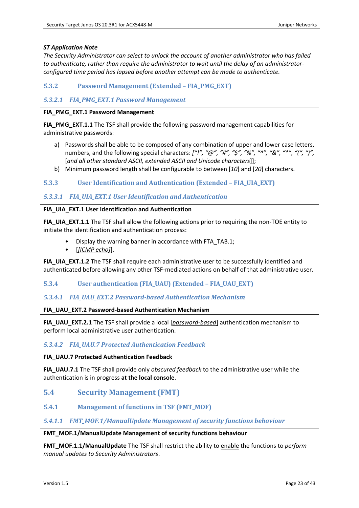## *ST Application Note*

*The Security Administrator can select to unlock the account of another administrator who has failed to authenticate, rather than require the administrator to wait until the delay of an administratorconfigured time period has lapsed before another attempt can be made to authenticate.*

# <span id="page-22-0"></span>**5.3.2 Password Management (Extended – FIA\_PMG\_EXT)**

## *5.3.2.1 FIA\_PMG\_EXT.1 Password Management*

#### **FIA\_PMG\_EXT.1 Password Management**

**FIA\_PMG\_EXT.1.1** The TSF shall provide the following password management capabilities for administrative passwords:

- a) Passwords shall be able to be composed of any combination of upper and lower case letters, numbers, and the following special characters:  $[$ "!", "@", "#", "\$", "%", "^", "&", "\*", "(", ")", [*and all other standard ASCII, extended ASCII and Unicode characters*]];
- b) Minimum password length shall be configurable to between [*10*] and [*20*] characters.

## <span id="page-22-1"></span>**5.3.3 User Identification and Authentication (Extended – FIA\_UIA\_EXT)**

## *5.3.3.1 FIA\_UIA\_EXT.1 User Identification and Authentication*

#### **FIA\_UIA\_EXT.1 User Identification and Authentication**

**FIA\_UIA\_EXT.1.1** The TSF shall allow the following actions prior to requiring the non-TOE entity to initiate the identification and authentication process:

- Display the warning banner in accordance with FTA\_TAB.1;
- [*[ICMP echo]*].

**FIA\_UIA\_EXT.1.2** The TSF shall require each administrative user to be successfully identified and authenticated before allowing any other TSF-mediated actions on behalf of that administrative user.

## <span id="page-22-2"></span>**5.3.4 User authentication (FIA\_UAU) (Extended – FIA\_UAU\_EXT)**

#### *5.3.4.1 FIA\_UAU\_EXT.2 Password-based Authentication Mechanism*

#### **FIA\_UAU\_EXT.2 Password-based Authentication Mechanism**

**FIA\_UAU\_EXT.2.1** The TSF shall provide a local [*password-based*] authentication mechanism to perform local administrative user authentication.

## *5.3.4.2 FIA\_UAU.7 Protected Authentication Feedback*

#### **FIA\_UAU.7 Protected Authentication Feedback**

**FIA\_UAU.7.1** The TSF shall provide only *obscured feedback* to the administrative user while the authentication is in progress **at the local console**.

## <span id="page-22-3"></span>**5.4 Security Management (FMT)**

<span id="page-22-4"></span>**5.4.1 Management of functions in TSF (FMT\_MOF)**

#### *5.4.1.1 FMT\_MOF.1/ManualUpdate Management of security functions behaviour*

#### **FMT\_MOF.1/ManualUpdate Management of security functions behaviour**

**FMT\_MOF.1.1/ManualUpdate** The TSF shall restrict the ability to enable the functions to *perform manual updates to Security Administrators*.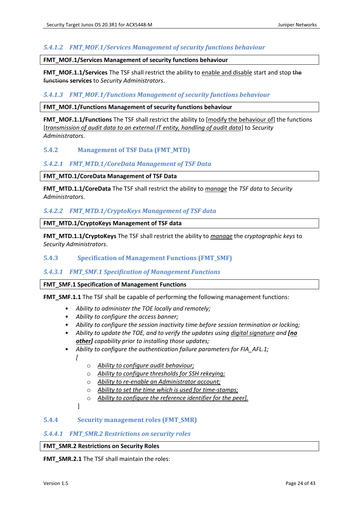## *5.4.1.2 FMT\_MOF.1/Services Management of security functions behaviour*

#### **FMT\_MOF.1/Services Management of security functions behaviour**

**FMT\_MOF.1.1/Services** The TSF shall restrict the ability to enable and disable start and stop the functions **services** to *Security Administrators*.

#### *5.4.1.3 FMT\_MOF.1/Functions Management of security functions behaviour*

#### **FMT\_MOF.1/Functions Management of security functions behaviour**

**FMT\_MOF.1.1/Functions** The TSF shall restrict the ability to [modify the behaviour of] the functions [*transmission of audit data to an external IT entity, handling of audit data*] to *Security Administrators*.

# <span id="page-23-0"></span>**5.4.2 Management of TSF Data (FMT\_MTD)**

#### *5.4.2.1 FMT\_MTD.1/CoreData Management of TSF Data*

#### **FMT\_MTD.1/CoreData Management of TSF Data**

**FMT\_MTD.1.1/CoreData** The TSF shall restrict the ability to *manage* the *TSF data* to *Security Administrators*.

#### *5.4.2.2 FMT\_MTD.1/CryptoKeys Management of TSF data*

#### **FMT\_MTD.1/CryptoKeys Management of TSF data**

**FMT\_MTD.1.1/CryptoKeys** The TSF shall restrict the ability to *manage* the *cryptographic keys* to *Security Administrators*.

#### <span id="page-23-1"></span>**5.4.3 Specification of Management Functions (FMT\_SMF)**

#### *5.4.3.1 FMT\_SMF.1 Specification of Management Functions*

#### **FMT\_SMF.1 Specification of Management Functions**

**FMT\_SMF.1.1** The TSF shall be capable of performing the following management functions:

- *Ability to administer the TOE locally and remotely;*
- *Ability to configure the access banner;*
- *Ability to configure the session inactivity time before session termination or locking;*
- *Ability to update the TOE, and to verify the updates using digital signature and [no other] capability prior to installing those updates;*
- *Ability to configure the authentication failure parameters for FIA\_AFL.1;*

*[*

- o *Ability to configure audit behaviour;*
- o *Ability to configure thresholds for SSH rekeying;*
- o *Ability to re-enable an Administrator account;*
- o *Ability to set the time which is used for time-stamps;*
- o *Ability to configure the reference identifier for the peer].*

]

## <span id="page-23-2"></span>**5.4.4 Security management roles (FMT\_SMR)**

#### *5.4.4.1 FMT\_SMR.2 Restrictions on security roles*

#### **FMT\_SMR.2 Restrictions on Security Roles**

**FMT\_SMR.2.1** The TSF shall maintain the roles: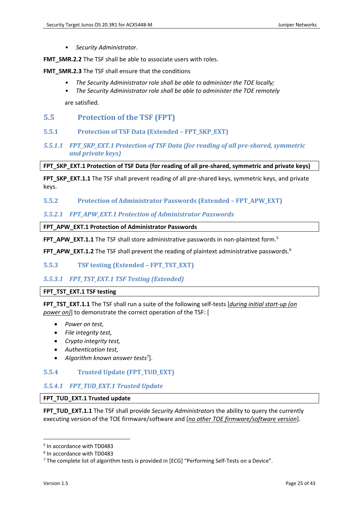• *Security Administrator*.

**FMT\_SMR.2.2** The TSF shall be able to associate users with roles.

**FMT\_SMR.2.3** The TSF shall ensure that the conditions

- *The Security Administrator role shall be able to administer the TOE locally;*
- *The Security Administrator role shall be able to administer the TOE remotely*

are satisfied.

## <span id="page-24-0"></span>**5.5 Protection of the TSF (FPT)**

- <span id="page-24-1"></span>**5.5.1 Protection of TSF Data (Extended – FPT\_SKP\_EXT)**
- *5.5.1.1 FPT\_SKP\_EXT.1 Protection of TSF Data (for reading of all pre-shared, symmetric and private keys)*

#### **FPT\_SKP\_EXT.1 Protection of TSF Data (for reading of all pre-shared, symmetric and private keys)**

FPT SKP EXT.1.1 The TSF shall prevent reading of all pre-shared keys, symmetric keys, and private keys.

<span id="page-24-2"></span>**5.5.2 Protection of Administrator Passwords (Extended – FPT\_APW\_EXT)**

#### *5.5.2.1 FPT\_APW\_EXT.1 Protection of Administrator Passwords*

#### **FPT\_APW\_EXT.1 Protection of Administrator Passwords**

**FPT\_APW\_EXT.1.1** The TSF shall store administrative passwords in non-plaintext form.<sup>5</sup>

**FPT\_APW\_EXT.1.2** The TSF shall prevent the reading of plaintext administrative passwords.<sup>6</sup>

#### <span id="page-24-3"></span>**5.5.3 TSF testing (Extended – FPT\_TST\_EXT)**

## *5.5.3.1 FPT\_TST\_EXT.1 TSF Testing (Extended)*

#### **FPT\_TST\_EXT.1 TSF testing**

**FPT\_TST\_EXT.1.1** The TSF shall run a suite of the following self-tests [*during initial start-up (on power on)*] to demonstrate the correct operation of the TSF: [

- *Power on test,*
- *File integrity test,*
- *Crypto integrity test,*
- *Authentication test,*
- *Algorithm known answer tests<sup>7</sup>* ].

# <span id="page-24-4"></span>**5.5.4 Trusted Update (FPT\_TUD\_EXT)**

#### *5.5.4.1 FPT\_TUD\_EXT.1 Trusted Update*

## **FPT\_TUD\_EXT.1 Trusted update**

**FPT\_TUD\_EXT.1.1** The TSF shall provide *Security Administrators* the ability to query the currently executing version of the TOE firmware/software and [*no other TOE firmware/software version*].

<sup>5</sup> In accordance with TD0483

<sup>6</sup> In accordance with TD0483

<sup>7</sup> The complete list of algorithm tests is provided i[n \[ECG\]](#page-7-1) "Performing Self-Tests on a Device".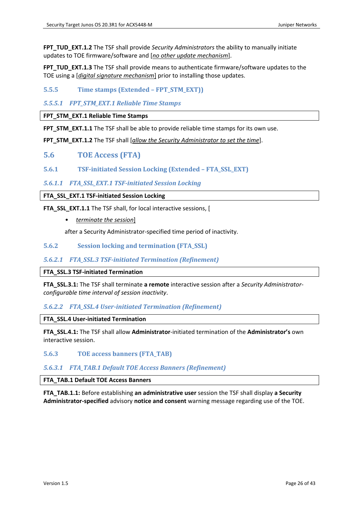**FPT\_TUD\_EXT.1.2** The TSF shall provide *Security Administrators* the ability to manually initiate updates to TOE firmware/software and [*no other update mechanism*].

**FPT\_TUD\_EXT.1.3** The TSF shall provide means to authenticate firmware/software updates to the TOE using a [*digital signature mechanism*] prior to installing those updates.

<span id="page-25-0"></span>**5.5.5 Time stamps (Extended – FPT\_STM\_EXT))**

# *5.5.5.1 FPT\_STM\_EXT.1 Reliable Time Stamps*

**FPT\_STM\_EXT.1 Reliable Time Stamps**

**FPT\_STM\_EXT.1.1** The TSF shall be able to provide reliable time stamps for its own use.

**FPT\_STM\_EXT.1.2** The TSF shall [*allow the Security Administrator to set the time*].

<span id="page-25-1"></span>**5.6 TOE Access (FTA)**

<span id="page-25-2"></span>**5.6.1 TSF-initiated Session Locking (Extended – FTA\_SSL\_EXT)**

*5.6.1.1 FTA\_SSL\_EXT.1 TSF-initiated Session Locking*

#### **FTA\_SSL\_EXT.1 TSF-initiated Session Locking**

**FTA\_SSL\_EXT.1.1** The TSF shall, for local interactive sessions, [

• *terminate the session*]

after a Security Administrator-specified time period of inactivity.

<span id="page-25-3"></span>**5.6.2 Session locking and termination (FTA\_SSL)**

## *5.6.2.1 FTA\_SSL.3 TSF-initiated Termination (Refinement)*

#### **FTA\_SSL.3 TSF-initiated Termination**

**FTA\_SSL.3.1:** The TSF shall terminate **a remote** interactive session after a *Security Administratorconfigurable time interval of session inactivity*.

## *5.6.2.2 FTA\_SSL.4 User-initiated Termination (Refinement)*

#### **FTA\_SSL.4 User-initiated Termination**

**FTA\_SSL.4.1:** The TSF shall allow **Administrator**-initiated termination of the **Administrator's** own interactive session.

## <span id="page-25-4"></span>**5.6.3 TOE access banners (FTA\_TAB)**

## *5.6.3.1 FTA\_TAB.1 Default TOE Access Banners (Refinement)*

#### **FTA\_TAB.1 Default TOE Access Banners**

**FTA\_TAB.1.1:** Before establishing **an administrative user** session the TSF shall display **a Security Administrator-specified** advisory **notice and consent** warning message regarding use of the TOE.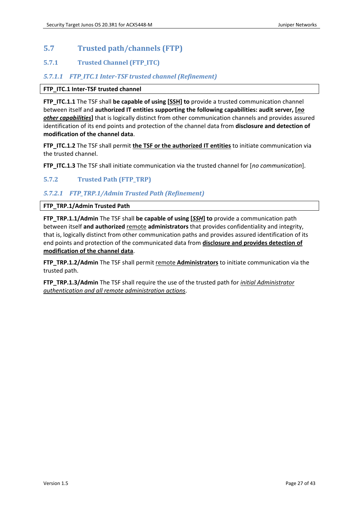# <span id="page-26-0"></span>**5.7 Trusted path/channels (FTP)**

# <span id="page-26-1"></span>**5.7.1 Trusted Channel (FTP\_ITC)**

# *5.7.1.1 FTP\_ITC.1 Inter-TSF trusted channel (Refinement)*

## **FTP\_ITC.1 Inter-TSF trusted channel**

**FTP\_ITC.1.1** The TSF shall **be capable of using [SSH] to** provide a trusted communication channel between itself and **authorized IT entities supporting the following capabilities: audit server, [***no other capabilities***]** that is logically distinct from other communication channels and provides assured identification of its end points and protection of the channel data from **disclosure and detection of modification of the channel data**.

**FTP\_ITC.1.2** The TSF shall permit **the TSF or the authorized IT entities** to initiate communication via the trusted channel.

**FTP\_ITC.1.3** The TSF shall initiate communication via the trusted channel for [*no communication*].

# <span id="page-26-2"></span>**5.7.2 Trusted Path (FTP\_TRP)**

# *5.7.2.1 FTP\_TRP.1/Admin Trusted Path (Refinement)*

## **FTP\_TRP.1/Admin Trusted Path**

**FTP\_TRP.1.1/Admin** The TSF shall **be capable of using [***SSH***] to** provide a communication path between itself and authorized remote administrators that provides confidentiality and integrity, that is, logically distinct from other communication paths and provides assured identification of its end points and protection of the communicated data from **disclosure and provides detection of modification of the channel data**.

**FTP\_TRP.1.2/Admin** The TSF shall permit remote **Administrators** to initiate communication via the trusted path.

**FTP\_TRP.1.3/Admin** The TSF shall require the use of the trusted path for *initial Administrator authentication and all remote administration actions*.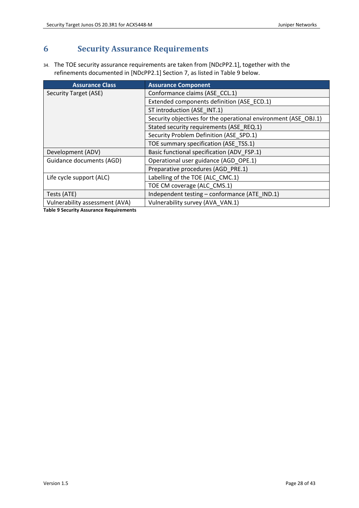# <span id="page-27-0"></span>**6 Security Assurance Requirements**

34. The TOE security assurance requirements are taken from [\[NDcPP2.1\],](#page-1-0) together with the refinements documented in [\[NDcPP2.1\]](#page-1-0) Section 7, as listed in [Table 9](#page-27-1) below.

| <b>Assurance Class</b>         | <b>Assurance Component</b>                                      |
|--------------------------------|-----------------------------------------------------------------|
| Security Target (ASE)          | Conformance claims (ASE CCL.1)                                  |
|                                | Extended components definition (ASE_ECD.1)                      |
|                                | ST introduction (ASE INT.1)                                     |
|                                | Security objectives for the operational environment (ASE OBJ.1) |
|                                | Stated security requirements (ASE REQ.1)                        |
|                                | Security Problem Definition (ASE SPD.1)                         |
|                                | TOE summary specification (ASE_TSS.1)                           |
| Development (ADV)              | Basic functional specification (ADV FSP.1)                      |
| Guidance documents (AGD)       | Operational user guidance (AGD_OPE.1)                           |
|                                | Preparative procedures (AGD PRE.1)                              |
| Life cycle support (ALC)       | Labelling of the TOE (ALC CMC.1)                                |
|                                | TOE CM coverage (ALC CMS.1)                                     |
| Tests (ATE)                    | Independent testing - conformance (ATE_IND.1)                   |
| Vulnerability assessment (AVA) | Vulnerability survey (AVA VAN.1)                                |

<span id="page-27-1"></span>**Table 9 Security Assurance Requirements**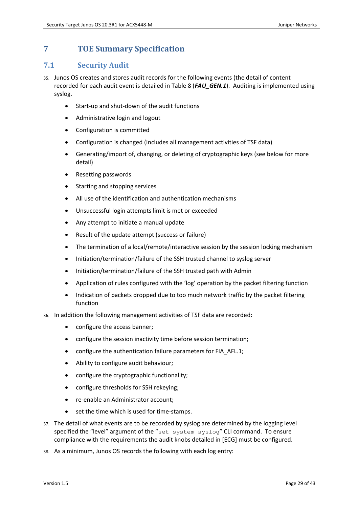# <span id="page-28-0"></span>**7 TOE Summary Specification**

# <span id="page-28-1"></span>**7.1 Security Audit**

- 35. Junos OS creates and stores audit records for the following events (the detail of content recorded for each audit event is detailed in [Table 8](#page-18-1) (*FAU\_GEN.1*). Auditing is implemented using syslog.
	- Start-up and shut-down of the audit functions
	- Administrative login and logout
	- Configuration is committed
	- Configuration is changed (includes all management activities of TSF data)
	- Generating/import of, changing, or deleting of cryptographic keys (see below for more detail)
	- Resetting passwords
	- Starting and stopping services
	- All use of the identification and authentication mechanisms
	- Unsuccessful login attempts limit is met or exceeded
	- Any attempt to initiate a manual update
	- Result of the update attempt (success or failure)
	- The termination of a local/remote/interactive session by the session locking mechanism
	- Initiation/termination/failure of the SSH trusted channel to syslog server
	- Initiation/termination/failure of the SSH trusted path with Admin
	- Application of rules configured with the 'log' operation by the packet filtering function
	- Indication of packets dropped due to too much network traffic by the packet filtering function
- 36. In addition the following management activities of TSF data are recorded:
	- configure the access banner;
	- configure the session inactivity time before session termination;
	- configure the authentication failure parameters for FIA\_AFL.1;
	- Ability to configure audit behaviour;
	- configure the cryptographic functionality;
	- configure thresholds for SSH rekeying;
	- re-enable an Administrator account;
	- set the time which is used for time-stamps.
- 37. The detail of what events are to be recorded by syslog are determined by the logging level specified the "level" argument of the "set system syslog" CLI command. To ensure compliance with the requirements the audit knobs detailed in [\[ECG\]](#page-7-1) must be configured.
- 38. As a minimum, Junos OS records the following with each log entry: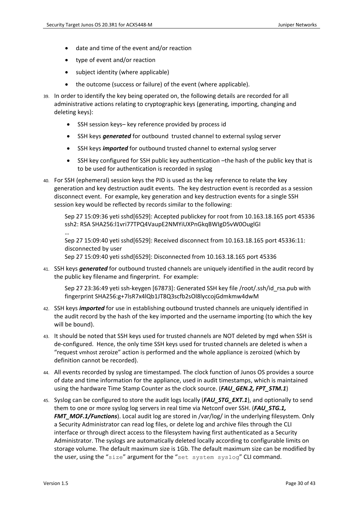- date and time of the event and/or reaction
- type of event and/or reaction
- subject identity (where applicable)
- the outcome (success or failure) of the event (where applicable).
- 39. In order to identify the key being operated on, the following details are recorded for all administrative actions relating to cryptographic keys (generating, importing, changing and deleting keys):
	- SSH session keys- key reference provided by process id
	- SSH keys *generated* for outbound trusted channel to external syslog server
	- SSH keys *imported* for outbound trusted channel to external syslog server
	- SSH key configured for SSH public key authentication the hash of the public key that is to be used for authentication is recorded in syslog
- 40. For SSH (ephemeral) session keys the PID is used as the key reference to relate the key generation and key destruction audit events. The key destruction event is recorded as a session disconnect event. For example, key generation and key destruction events for a single SSH session key would be reflected by records similar to the following:

Sep 27 15:09:36 yeti sshd[6529]: Accepted publickey for root from 10.163.18.165 port 45336 ssh2: RSA SHA256:l1vri77TPQ4VaupE2NMYiUXPnGkqBWIgD5vW0OuglGI …

Sep 27 15:09:40 yeti sshd[6529]: Received disconnect from 10.163.18.165 port 45336:11: disconnected by user

Sep 27 15:09:40 yeti sshd[6529]: Disconnected from 10.163.18.165 port 45336

41. SSH keys *generated* for outbound trusted channels are uniquely identified in the audit record by the public key filename and fingerprint. For example:

Sep 27 23:36:49 yeti ssh-keygen [67873]: Generated SSH key file /root/.ssh/id\_rsa.pub with fingerprint SHA256:g+7lsR7x4lQb1JT8Q3scfb2sOl8lyccojGdmkmw4dwM

- 42. SSH keys *imported* for use in establishing outbound trusted channels are uniquely identified in the audit record by the hash of the key imported and the username importing (to which the key will be bound).
- 43. It should be noted that SSH keys used for trusted channels are NOT deleted by mgd when SSH is de-configured. Hence, the only time SSH keys used for trusted channels are deleted is when a "request vmhost zeroize" action is performed and the whole appliance is zeroized (which by definition cannot be recorded).
- 44. All events recorded by syslog are timestamped. The clock function of Junos OS provides a source of date and time information for the appliance, used in audit timestamps, which is maintained using the hardware Time Stamp Counter as the clock source. (*FAU\_GEN.2, FPT\_STM.1*)
- 45. Syslog can be configured to store the audit logs locally (*FAU\_STG\_EXT.1*), and optionally to send them to one or more syslog log servers in real time via Netconf over SSH. (*FAU\_STG.1, FMT\_MOF.1/Functions*). Local audit log are stored in /var/log/ in the underlying filesystem. Only a Security Administrator can read log files, or delete log and archive files through the CLI interface or through direct access to the filesystem having first authenticated as a Security Administrator. The syslogs are automatically deleted locally according to configurable limits on storage volume. The default maximum size is 1Gb. The default maximum size can be modified by the user, using the "size" argument for the "set system syslog" CLI command.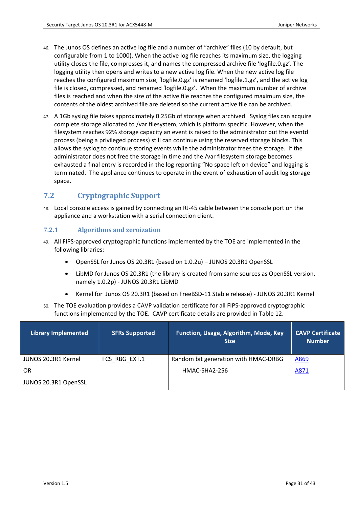- 46. The Junos OS defines an active log file and a number of "archive" files (10 by default, but configurable from 1 to 1000). When the active log file reaches its maximum size, the logging utility closes the file, compresses it, and names the compressed archive file 'logfile.0.gz'. The logging utility then opens and writes to a new active log file. When the new active log file reaches the configured maximum size, 'logfile.0.gz' is renamed 'logfile.1.gz', and the active log file is closed, compressed, and renamed 'logfile.0.gz'. When the maximum number of archive files is reached and when the size of the active file reaches the configured maximum size, the contents of the oldest archived file are deleted so the current active file can be archived.
- 47. A 1Gb syslog file takes approximately 0.25Gb of storage when archived. Syslog files can acquire complete storage allocated to /var filesystem, which is platform specific. However, when the filesystem reaches 92% storage capacity an event is raised to the administrator but the eventd process (being a privileged process) still can continue using the reserved storage blocks. This allows the syslog to continue storing events while the administrator frees the storage. If the administrator does not free the storage in time and the /var filesystem storage becomes exhausted a final entry is recorded in the log reporting "No space left on device" and logging is terminated. The appliance continues to operate in the event of exhaustion of audit log storage space.

# <span id="page-30-0"></span>**7.2 Cryptographic Support**

48. Local console access is gained by connecting an RJ-45 cable between the console port on the appliance and a workstation with a serial connection client.

# <span id="page-30-1"></span>**7.2.1 Algorithms and zeroization**

- 49. All FIPS-approved cryptographic functions implemented by the TOE are implemented in the following libraries:
	- OpenSSL for Junos OS 20.3R1 (based on 1.0.2u) JUNOS 20.3R1 OpenSSL
	- LibMD for Junos OS 20.3R1 (the library is created from same sources as OpenSSL version, namely 1.0.2p) - JUNOS 20.3R1 LibMD
	- Kernel for Junos OS 20.3R1 (based on FreeBSD-11 Stable release) JUNOS 20.3R1 Kernel
- 50. The TOE evaluation provides a CAVP validation certificate for all FIPS-approved cryptographic functions implemented by the TOE. CAVP certificate details are provided in Table 12.

| <b>Library Implemented</b> | <b>SFRs Supported</b> | <b>Function, Usage, Algorithm, Mode, Key</b><br><b>Size</b> | <b>CAVP Certificate</b><br><b>Number</b> |
|----------------------------|-----------------------|-------------------------------------------------------------|------------------------------------------|
| JUNOS 20.3R1 Kernel        | FCS RBG EXT.1         | Random bit generation with HMAC-DRBG                        | A869                                     |
| OR                         |                       | HMAC-SHA2-256                                               | A871                                     |
| JUNOS 20.3R1 OpenSSL       |                       |                                                             |                                          |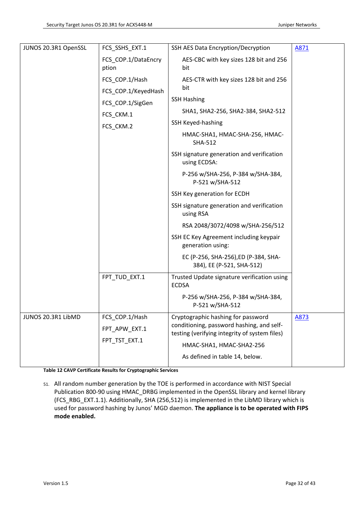| JUNOS 20.3R1 OpenSSL | FCS SSHS EXT.1               | SSH AES Data Encryption/Decryption                                                         | A871 |
|----------------------|------------------------------|--------------------------------------------------------------------------------------------|------|
|                      | FCS COP.1/DataEncry<br>ption | AES-CBC with key sizes 128 bit and 256<br>bit                                              |      |
|                      | FCS COP.1/Hash               | AES-CTR with key sizes 128 bit and 256                                                     |      |
|                      | FCS_COP.1/KeyedHash          | bit                                                                                        |      |
|                      | FCS_COP.1/SigGen             | <b>SSH Hashing</b>                                                                         |      |
|                      | FCS CKM.1                    | SHA1, SHA2-256, SHA2-384, SHA2-512                                                         |      |
|                      | FCS_CKM.2                    | <b>SSH Keyed-hashing</b>                                                                   |      |
|                      |                              | HMAC-SHA1, HMAC-SHA-256, HMAC-<br><b>SHA-512</b>                                           |      |
|                      |                              | SSH signature generation and verification<br>using ECDSA:                                  |      |
|                      |                              | P-256 w/SHA-256, P-384 w/SHA-384,<br>P-521 w/SHA-512                                       |      |
|                      |                              | SSH Key generation for ECDH                                                                |      |
|                      |                              | SSH signature generation and verification<br>using RSA                                     |      |
|                      |                              | RSA 2048/3072/4098 w/SHA-256/512                                                           |      |
|                      |                              | SSH EC Key Agreement including keypair<br>generation using:                                |      |
|                      |                              | EC (P-256, SHA-256), ED (P-384, SHA-<br>384), EE (P-521, SHA-512)                          |      |
|                      | FPT_TUD_EXT.1                | Trusted Update signature verification using<br><b>ECDSA</b>                                |      |
|                      |                              | P-256 w/SHA-256, P-384 w/SHA-384,<br>P-521 w/SHA-512                                       |      |
| JUNOS 20.3R1 LibMD   | FCS_COP.1/Hash               | Cryptographic hashing for password                                                         | A873 |
|                      | FPT APW EXT.1                | conditioning, password hashing, and self-<br>testing (verifying integrity of system files) |      |
|                      | FPT_TST_EXT.1                | HMAC-SHA1, HMAC-SHA2-256                                                                   |      |
|                      |                              | As defined in table 14, below.                                                             |      |
|                      |                              |                                                                                            |      |

**Table 12 CAVP Certificate Results for Cryptographic Services**

51. All random number generation by the TOE is performed in accordance with NIST Special Publication 800-90 using HMAC\_DRBG implemented in the OpenSSL library and kernel library (FCS\_RBG\_EXT.1.1). Additionally, SHA (256,512) is implemented in the LibMD library which is used for password hashing by Junos' MGD daemon. **The appliance is to be operated with FIPS mode enabled.**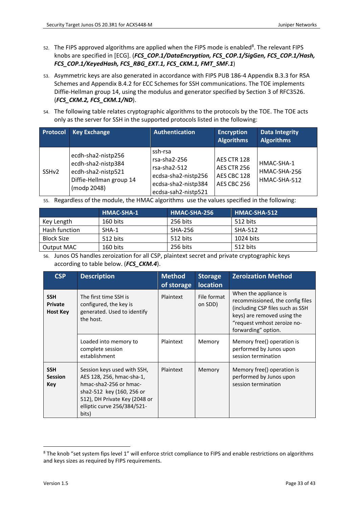- 52. The FIPS approved algorithms are applied when the FIPS mode is enabled<sup>8</sup>. The relevant FIPS knobs are specified in [\[ECG\].](#page-7-1) (*FCS\_COP.1/DataEncryption, FCS\_COP.1/SigGen, FCS\_COP.1/Hash, FCS\_COP.1/KeyedHash, FCS\_RBG\_EXT.1, FCS\_CKM.1, FMT\_SMF.1*)
- 53. Asymmetric keys are also generated in accordance with FIPS PUB 186-4 Appendix B.3.3 for RSA Schemes and Appendix B.4.2 for ECC Schemes for SSH communications. The TOE implements Diffie-Hellman group 14, using the modulus and generator specified by Section 3 of RFC3526. (*FCS\_CKM.2, FCS\_CKM.1/ND*).
- 54. The following table relates cryptographic algorithms to the protocols by the TOE. The TOE acts only as the server for SSH in the supported protocols listed in the following:

| Protocol          | <b>Key Exchange</b>                                                                                      | <b>Authentication</b>                                                                                        | <b>Encryption</b><br><b>Algorithms</b>                   | <b>Data Integrity</b><br><b>Algorithms</b> |
|-------------------|----------------------------------------------------------------------------------------------------------|--------------------------------------------------------------------------------------------------------------|----------------------------------------------------------|--------------------------------------------|
| SSH <sub>v2</sub> | ecdh-sha2-nistp256<br>ecdh-sha2-nistp384<br>ecdh-sha2-nistp521<br>Diffie-Hellman group 14<br>(modp 2048) | ssh-rsa<br>rsa-sha2-256<br>rsa-sha2-512<br>ecdsa-sha2-nistp256<br>ecdsa-sha2-nistp384<br>ecdsa-sah2-nistp521 | AES CTR 128<br>AES CTR 256<br>AES CBC 128<br>AES CBC 256 | HMAC-SHA-1<br>HMAC-SHA-256<br>HMAC-SHA-512 |

55. Regardless of the module, the HMAC algorithms use the values specified in the following:

|                   | <b>HMAC-SHA-1</b> | HMAC-SHA-256 | HMAC-SHA-512 |
|-------------------|-------------------|--------------|--------------|
| Key Length        | 160 bits          | 256 bits     | 512 bits     |
| Hash function     | SHA-1             | SHA-256      | SHA-512      |
| <b>Block Size</b> | 512 bits          | 512 bits     | 1024 bits    |
| Output MAC        | 160 bits          | 256 bits     | 512 bits     |

56. Junos OS handles zeroization for all CSP, plaintext secret and private cryptographic keys according to table below. (*FCS\_CKM.4*).

| <b>CSP</b>                                      | <b>Description</b>                                                                                                                                                                       | <b>Method</b><br>of storage | <b>Storage</b><br><b>location</b> | <b>Zeroization Method</b>                                                                                                                                                          |
|-------------------------------------------------|------------------------------------------------------------------------------------------------------------------------------------------------------------------------------------------|-----------------------------|-----------------------------------|------------------------------------------------------------------------------------------------------------------------------------------------------------------------------------|
| <b>SSH</b><br><b>Private</b><br><b>Host Key</b> | The first time SSH is<br>configured, the key is<br>generated. Used to identify<br>the host.                                                                                              | Plaintext                   | File format<br>on SDD)            | When the appliance is<br>recommissioned, the config files<br>(including CSP files such as SSH<br>keys) are removed using the<br>"request vmhost zeroize no-<br>forwarding" option. |
|                                                 | Loaded into memory to<br>complete session<br>establishment                                                                                                                               | Plaintext                   | Memory                            | Memory free() operation is<br>performed by Junos upon<br>session termination                                                                                                       |
| <b>SSH</b><br><b>Session</b><br><b>Key</b>      | Session keys used with SSH,<br>AES 128, 256, hmac-sha-1,<br>hmac-sha2-256 or hmac-<br>sha2-512 key (160, 256 or<br>512), DH Private Key (2048 or<br>elliptic curve 256/384/521-<br>bits) | Plaintext                   | Memory                            | Memory free() operation is<br>performed by Junos upon<br>session termination                                                                                                       |

<sup>&</sup>lt;sup>8</sup> The knob "set system fips level 1" will enforce strict compliance to FIPS and enable restrictions on algorithms and keys sizes as required by FIPS requirements.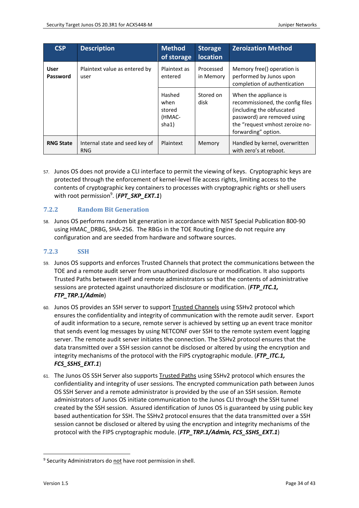| <b>CSP</b>       | <b>Description</b>                           | <b>Method</b><br>of storage                 | <b>Storage</b><br><b>location</b> | <b>Zeroization Method</b>                                                                                                                                                       |
|------------------|----------------------------------------------|---------------------------------------------|-----------------------------------|---------------------------------------------------------------------------------------------------------------------------------------------------------------------------------|
| User<br>Password | Plaintext value as entered by<br>user        | Plaintext as<br>entered                     | Processed<br>in Memory            | Memory free() operation is<br>performed by Junos upon<br>completion of authentication                                                                                           |
|                  |                                              | Hashed<br>when<br>stored<br>(HMAC-<br>sha1) | Stored on<br>disk                 | When the appliance is<br>recommissioned, the config files<br>(including the obfuscated<br>password) are removed using<br>the "request vmhost zeroize no-<br>forwarding" option. |
| <b>RNG State</b> | Internal state and seed key of<br><b>RNG</b> | Plaintext                                   | Memory                            | Handled by kernel, overwritten<br>with zero's at reboot.                                                                                                                        |

57. Junos OS does not provide a CLI interface to permit the viewing of keys. Cryptographic keys are protected through the enforcement of kernel-level file access rights, limiting access to the contents of cryptographic key containers to processes with cryptographic rights or shell users with root permission<sup>9</sup>. (FPT\_SKP\_EXT.1)

# <span id="page-33-0"></span>**7.2.2 Random Bit Generation**

58. Junos OS performs random bit generation in accordance with NIST Special Publication 800-90 using HMAC\_DRBG, SHA-256. The RBGs in the TOE Routing Engine do not require any configuration and are seeded from hardware and software sources.

## <span id="page-33-1"></span>**7.2.3 SSH**

- 59. Junos OS supports and enforces Trusted Channels that protect the communications between the TOE and a remote audit server from unauthorized disclosure or modification. It also supports Trusted Paths between itself and remote administrators so that the contents of administrative sessions are protected against unauthorized disclosure or modification. (*FTP\_ITC.1, FTP\_TRP.1/Admin*)
- 60. Junos OS provides an SSH server to support Trusted Channels using SSHv2 protocol which ensures the confidentiality and integrity of communication with the remote audit server. Export of audit information to a secure, remote server is achieved by setting up an event trace monitor that sends event log messages by using NETCONF over SSH to the remote system event logging server. The remote audit server initiates the connection. The SSHv2 protocol ensures that the data transmitted over a SSH session cannot be disclosed or altered by using the encryption and integrity mechanisms of the protocol with the FIPS cryptographic module. (*FTP\_ITC.1, FCS\_SSHS\_EXT.1*)
- 61. The Junos OS SSH Server also supports Trusted Paths using SSHv2 protocol which ensures the confidentiality and integrity of user sessions. The encrypted communication path between Junos OS SSH Server and a remote administrator is provided by the use of an SSH session. Remote administrators of Junos OS initiate communication to the Junos CLI through the SSH tunnel created by the SSH session. Assured identification of Junos OS is guaranteed by using public key based authentication for SSH. The SSHv2 protocol ensures that the data transmitted over a SSH session cannot be disclosed or altered by using the encryption and integrity mechanisms of the protocol with the FIPS cryptographic module. (*FTP\_TRP.1/Admin, FCS\_SSHS\_EXT.1*)

<sup>&</sup>lt;sup>9</sup> Security Administrators do not have root permission in shell.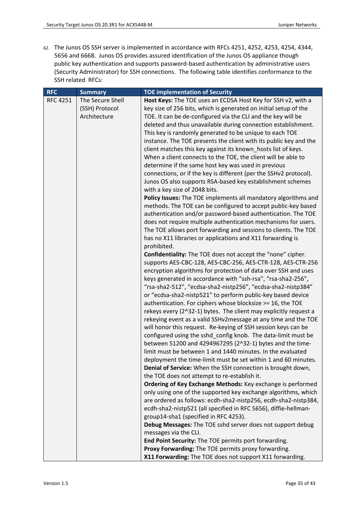62. The Junos OS SSH server is implemented in accordance with RFCs 4251, 4252, 4253, 4254, 4344, 5656 and 6668. Junos OS provides assured identification of the Junos OS appliance though public key authentication and supports password-based authentication by administrative users (Security Administrator) for SSH connections. The following table identifies conformance to the SSH related RFCs:

| <b>RFC</b>      | <b>Summary</b>   | <b>TOE implementation of Security</b>                                                                                      |
|-----------------|------------------|----------------------------------------------------------------------------------------------------------------------------|
| <b>RFC 4251</b> | The Secure Shell | Host Keys: The TOE uses an ECDSA Host Key for SSH v2, with a                                                               |
|                 | (SSH) Protocol   | key size of 256 bits, which is generated on initial setup of the                                                           |
|                 | Architecture     | TOE. It can be de-configured via the CLI and the key will be                                                               |
|                 |                  | deleted and thus unavailable during connection establishment.                                                              |
|                 |                  | This key is randomly generated to be unique to each TOE                                                                    |
|                 |                  | instance. The TOE presents the client with its public key and the                                                          |
|                 |                  | client matches this key against its known_hosts list of keys.                                                              |
|                 |                  | When a client connects to the TOE, the client will be able to                                                              |
|                 |                  | determine if the same host key was used in previous                                                                        |
|                 |                  | connections, or if the key is different (per the SSHv2 protocol).                                                          |
|                 |                  | Junos OS also supports RSA-based key establishment schemes                                                                 |
|                 |                  | with a key size of 2048 bits.                                                                                              |
|                 |                  | Policy Issues: The TOE implements all mandatory algorithms and                                                             |
|                 |                  | methods. The TOE can be configured to accept public-key based                                                              |
|                 |                  | authentication and/or password-based authentication. The TOE                                                               |
|                 |                  | does not require multiple authentication mechanisms for users.                                                             |
|                 |                  | The TOE allows port forwarding and sessions to clients. The TOE                                                            |
|                 |                  | has no X11 libraries or applications and X11 forwarding is                                                                 |
|                 |                  | prohibited.                                                                                                                |
|                 |                  | Confidentiality: The TOE does not accept the "none" cipher.                                                                |
|                 |                  | supports AES-CBC-128, AES-CBC-256, AES-CTR-128, AES-CTR-256                                                                |
|                 |                  | encryption algorithms for protection of data over SSH and uses                                                             |
|                 |                  | keys generated in accordance with "ssh-rsa", "rsa-sha2-256",                                                               |
|                 |                  | "rsa-sha2-512", "ecdsa-sha2-nistp256", "ecdsa-sha2-nistp384"                                                               |
|                 |                  | or "ecdsa-sha2-nistp521" to perform public-key based device                                                                |
|                 |                  | authentication. For ciphers whose blocksize >= 16, the TOE                                                                 |
|                 |                  | rekeys every (2^32-1) bytes. The client may explicitly request a                                                           |
|                 |                  | rekeying event as a valid SSHv2message at any time and the TOE                                                             |
|                 |                  | will honor this request. Re-keying of SSH session keys can be                                                              |
|                 |                  |                                                                                                                            |
|                 |                  | configured using the sshd_config knob. The data-limit must be<br>between 51200 and 4294967295 (2^32-1) bytes and the time- |
|                 |                  |                                                                                                                            |
|                 |                  | limit must be between 1 and 1440 minutes. In the evaluated                                                                 |
|                 |                  | deployment the time-limit must be set within 1 and 60 minutes.                                                             |
|                 |                  | Denial of Service: When the SSH connection is brought down,                                                                |
|                 |                  | the TOE does not attempt to re-establish it.                                                                               |
|                 |                  | Ordering of Key Exchange Methods: Key exchange is performed                                                                |
|                 |                  | only using one of the supported key exchange algorithms, which                                                             |
|                 |                  | are ordered as follows: ecdh-sha2-nistp256, ecdh-sha2-nistp384,                                                            |
|                 |                  | ecdh-sha2-nistp521 (all specified in RFC 5656), diffie-hellman-                                                            |
|                 |                  | group14-sha1 (specified in RFC 4253).                                                                                      |
|                 |                  | Debug Messages: The TOE sshd server does not support debug                                                                 |
|                 |                  | messages via the CLI.                                                                                                      |
|                 |                  | End Point Security: The TOE permits port forwarding.                                                                       |
|                 |                  | Proxy Forwarding: The TOE permits proxy forwarding.                                                                        |
|                 |                  | X11 Forwarding: The TOE does not support X11 forwarding.                                                                   |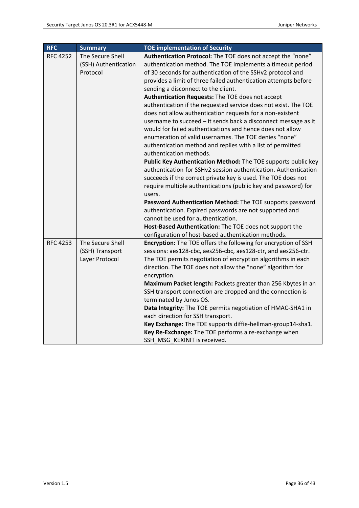| <b>RFC</b>      | <b>Summary</b>       | <b>TOE implementation of Security</b>                           |
|-----------------|----------------------|-----------------------------------------------------------------|
| <b>RFC 4252</b> | The Secure Shell     | Authentication Protocol: The TOE does not accept the "none"     |
|                 | (SSH) Authentication | authentication method. The TOE implements a timeout period      |
|                 | Protocol             | of 30 seconds for authentication of the SSHv2 protocol and      |
|                 |                      | provides a limit of three failed authentication attempts before |
|                 |                      | sending a disconnect to the client.                             |
|                 |                      | Authentication Requests: The TOE does not accept                |
|                 |                      | authentication if the requested service does not exist. The TOE |
|                 |                      | does not allow authentication requests for a non-existent       |
|                 |                      | username to succeed - it sends back a disconnect message as it  |
|                 |                      | would for failed authentications and hence does not allow       |
|                 |                      | enumeration of valid usernames. The TOE denies "none"           |
|                 |                      | authentication method and replies with a list of permitted      |
|                 |                      | authentication methods.                                         |
|                 |                      | Public Key Authentication Method: The TOE supports public key   |
|                 |                      | authentication for SSHv2 session authentication. Authentication |
|                 |                      | succeeds if the correct private key is used. The TOE does not   |
|                 |                      | require multiple authentications (public key and password) for  |
|                 |                      | users.                                                          |
|                 |                      | Password Authentication Method: The TOE supports password       |
|                 |                      | authentication. Expired passwords are not supported and         |
|                 |                      | cannot be used for authentication.                              |
|                 |                      | Host-Based Authentication: The TOE does not support the         |
|                 |                      | configuration of host-based authentication methods.             |
| <b>RFC 4253</b> | The Secure Shell     | Encryption: The TOE offers the following for encryption of SSH  |
|                 | (SSH) Transport      | sessions: aes128-cbc, aes256-cbc, aes128-ctr, and aes256-ctr.   |
|                 | Layer Protocol       | The TOE permits negotiation of encryption algorithms in each    |
|                 |                      | direction. The TOE does not allow the "none" algorithm for      |
|                 |                      | encryption.                                                     |
|                 |                      | Maximum Packet length: Packets greater than 256 Kbytes in an    |
|                 |                      | SSH transport connection are dropped and the connection is      |
|                 |                      | terminated by Junos OS.                                         |
|                 |                      | Data Integrity: The TOE permits negotiation of HMAC-SHA1 in     |
|                 |                      | each direction for SSH transport.                               |
|                 |                      | Key Exchange: The TOE supports diffie-hellman-group14-sha1.     |
|                 |                      | Key Re-Exchange: The TOE performs a re-exchange when            |
|                 |                      | SSH MSG KEXINIT is received.                                    |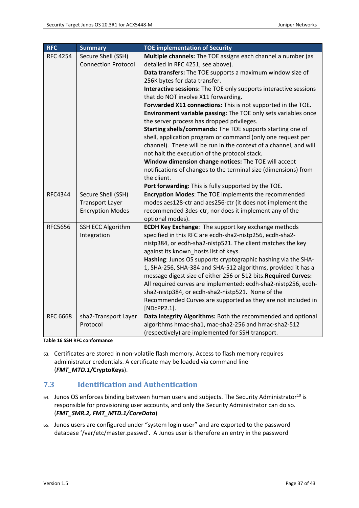| <b>RFC</b>      | <b>Summary</b>                                   | <b>TOE implementation of Security</b>                                                             |
|-----------------|--------------------------------------------------|---------------------------------------------------------------------------------------------------|
| <b>RFC 4254</b> | Secure Shell (SSH)<br><b>Connection Protocol</b> | Multiple channels: The TOE assigns each channel a number (as<br>detailed in RFC 4251, see above). |
|                 |                                                  | Data transfers: The TOE supports a maximum window size of                                         |
|                 |                                                  | 256K bytes for data transfer.                                                                     |
|                 |                                                  | Interactive sessions: The TOE only supports interactive sessions                                  |
|                 |                                                  | that do NOT involve X11 forwarding.                                                               |
|                 |                                                  | Forwarded X11 connections: This is not supported in the TOE.                                      |
|                 |                                                  | Environment variable passing: The TOE only sets variables once                                    |
|                 |                                                  | the server process has dropped privileges.                                                        |
|                 |                                                  | Starting shells/commands: The TOE supports starting one of                                        |
|                 |                                                  | shell, application program or command (only one request per                                       |
|                 |                                                  | channel). These will be run in the context of a channel, and will                                 |
|                 |                                                  | not halt the execution of the protocol stack.                                                     |
|                 |                                                  | Window dimension change notices: The TOE will accept                                              |
|                 |                                                  | notifications of changes to the terminal size (dimensions) from                                   |
|                 |                                                  | the client.                                                                                       |
|                 |                                                  | Port forwarding: This is fully supported by the TOE.                                              |
| <b>RFC4344</b>  | Secure Shell (SSH)                               | Encryption Modes: The TOE implements the recommended                                              |
|                 | <b>Transport Layer</b>                           | modes aes128-ctr and aes256-ctr (it does not implement the                                        |
|                 | <b>Encryption Modes</b>                          | recommended 3des-ctr, nor does it implement any of the<br>optional modes).                        |
| <b>RFC5656</b>  | <b>SSH ECC Algorithm</b>                         | <b>ECDH Key Exchange: The support key exchange methods</b>                                        |
|                 | Integration                                      | specified in this RFC are ecdh-sha2-nistp256, ecdh-sha2-                                          |
|                 |                                                  | nistp384, or ecdh-sha2-nistp521. The client matches the key                                       |
|                 |                                                  | against its known hosts list of keys.                                                             |
|                 |                                                  | Hashing: Junos OS supports cryptographic hashing via the SHA-                                     |
|                 |                                                  | 1, SHA-256, SHA-384 and SHA-512 algorithms, provided it has a                                     |
|                 |                                                  | message digest size of either 256 or 512 bits. Required Curves:                                   |
|                 |                                                  | All required curves are implemented: ecdh-sha2-nistp256, ecdh-                                    |
|                 |                                                  | sha2-nistp384, or ecdh-sha2-nistp521. None of the                                                 |
|                 |                                                  | Recommended Curves are supported as they are not included in                                      |
|                 |                                                  | [NDcPP2.1].                                                                                       |
| <b>RFC 6668</b> | sha2-Transport Layer                             | Data Integrity Algorithms: Both the recommended and optional                                      |
|                 | Protocol                                         | algorithms hmac-sha1, mac-sha2-256 and hmac-sha2-512                                              |
|                 |                                                  | (respectively) are implemented for SSH transport.                                                 |

**Table 16 SSH RFC conformance**

63. Certificates are stored in non-volatile flash memory. Access to flash memory requires administrator credentials. A certificate may be loaded via command line (*FMT\_MTD.1/***CryptoKeys**).

# <span id="page-36-0"></span>**7.3 Identification and Authentication**

- 64. Junos OS enforces binding between human users and subjects. The Security Administrator<sup>10</sup> is responsible for provisioning user accounts, and only the Security Administrator can do so. (*FMT\_SMR.2, FMT\_MTD.1/CoreData*)
- 65. Junos users are configured under "system login user" and are exported to the password database '/var/etc/master.passwd'. A Junos user is therefore an entry in the password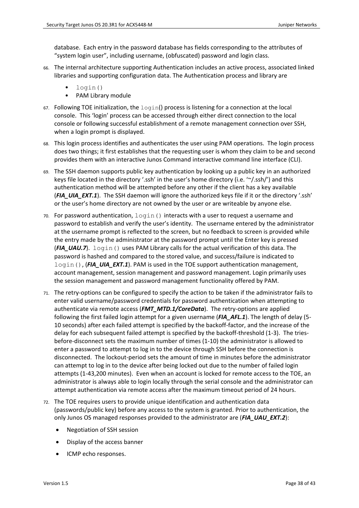database. Each entry in the password database has fields corresponding to the attributes of "system login user", including username, (obfuscated) password and login class.

- 66. The internal architecture supporting Authentication includes an active process, associated linked libraries and supporting configuration data. The Authentication process and library are
	- login()
	- PAM Library module
- 67. Following TOE initialization, the  $\text{login}()$  process is listening for a connection at the local console. This 'login' process can be accessed through either direct connection to the local console or following successful establishment of a remote management connection over SSH, when a login prompt is displayed.
- 68. This login process identifies and authenticates the user using PAM operations. The login process does two things; it first establishes that the requesting user is whom they claim to be and second provides them with an interactive Junos Command interactive command line interface (CLI).
- 69. The SSH daemon supports public key authentication by looking up a public key in an authorized keys file located in the directory '.ssh' in the user's home directory (i.e. '~/.ssh/') and this authentication method will be attempted before any other if the client has a key available (FIA\_UIA\_EXT.1). The SSH daemon will ignore the authorized keys file if it or the directory '.ssh' or the user's home directory are not owned by the user or are writeable by anyone else.
- 70. For password authentication,  $login()$  interacts with a user to request a username and password to establish and verify the user's identity. The username entered by the administrator at the username prompt is reflected to the screen, but no feedback to screen is provided while the entry made by the administrator at the password prompt until the Enter key is pressed (*FIA\_UAU.7*). login() uses PAM Library calls for the actual verification of this data. The password is hashed and compared to the stored value, and success/failure is indicated to login(), (**FIA\_UIA\_EXT.1**). PAM is used in the TOE support authentication management, account management, session management and password management. Login primarily uses the session management and password management functionality offered by PAM.
- 71. The retry-options can be configured to specify the action to be taken if the administrator fails to enter valid username/password credentials for password authentication when attempting to authenticate via remote access (*FMT\_MTD.1/CoreData*). The retry-options are applied following the first failed login attempt for a given username (*FIA\_AFL.1*). The length of delay (5- 10 seconds) after each failed attempt is specified by the backoff-factor, and the increase of the delay for each subsequent failed attempt is specified by the backoff-threshold (1-3). The triesbefore-disconnect sets the maximum number of times (1-10) the administrator is allowed to enter a password to attempt to log in to the device through SSH before the connection is disconnected. The lockout-period sets the amount of time in minutes before the administrator can attempt to log in to the device after being locked out due to the number of failed login attempts (1-43,200 minutes). Even when an account is locked for remote access to the TOE, an administrator is always able to login locally through the serial console and the administrator can attempt authentication via remote access after the maximum timeout period of 24 hours.
- 72. The TOE requires users to provide unique identification and authentication data (passwords/public key) before any access to the system is granted. Prior to authentication, the only Junos OS managed responses provided to the administrator are (*FIA\_UAU\_EXT.2*):
	- Negotiation of SSH session
	- Display of the access banner
	- ICMP echo responses.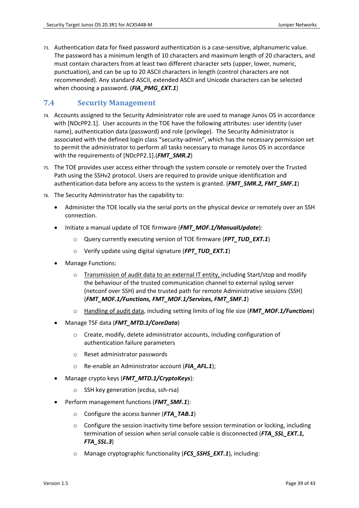73. Authentication data for fixed password authentication is a case-sensitive, alphanumeric value. The password has a minimum length of 10 characters and maximum length of 20 characters, and must contain characters from at least two different character sets (upper, lower, numeric, punctuation), and can be up to 20 ASCII characters in length (control characters are not recommended). Any standard ASCII, extended ASCII and Unicode characters can be selected when choosing a password. (*FIA\_PMG\_EXT.1*)

# <span id="page-38-0"></span>**7.4 Security Management**

- 74. Accounts assigned to the Security Administrator role are used to manage Junos OS in accordance with [\[NDcPP2.1\].](#page-1-0) User accounts in the TOE have the following attributes: user identity (user name), authentication data (password) and role (privilege). The Security Administrator is associated with the defined login class "security-admin", which has the necessary permission set to permit the administrator to perform all tasks necessary to manage Junos OS in accordance with the requirements of [\[NDcPP2.1\].](#page-1-0)(*FMT\_SMR.2*)
- 75. The TOE provides user access either through the system console or remotely over the Trusted Path using the SSHv2 protocol. Users are required to provide unique identification and authentication data before any access to the system is granted. (*FMT\_SMR.2, FMT\_SMF.1*)
- 76. The Security Administrator has the capability to:
	- Administer the TOE locally via the serial ports on the physical device or remotely over an SSH connection.
	- Initiate a manual update of TOE firmware (*FMT\_MOF.1/ManualUpdate*):
		- o Query currently executing version of TOE firmware (*FPT\_TUD\_EXT.1*)
		- o Verify update using digital signature (*FPT\_TUD\_EXT.1*)
	- Manage Functions:
		- o Transmission of audit data to an external IT entity, including Start/stop and modify the behaviour of the trusted communication channel to external syslog server (netconf over SSH) and the trusted path for remote Administrative sessions (SSH) (*FMT\_MOF.1/Functions, FMT\_MOF.1/Services, FMT\_SMF.1*)
		- o Handling of audit data, including setting limits of log file size (*FMT\_MOF.1/Functions*)
	- Manage TSF data (*FMT\_MTD.1/CoreData*)
		- o Create, modify, delete administrator accounts, including configuration of authentication failure parameters
		- o Reset administrator passwords
		- o Re-enable an Administrator account (*FIA\_AFL.1*);
	- Manage crypto keys (*FMT\_MTD.1/CryptoKeys*):
		- o SSH key generation (ecdsa, ssh-rsa)
	- Perform management functions (*FMT\_SMF.1*):
		- o Configure the access banner (*FTA\_TAB.1*)
		- o Configure the session inactivity time before session termination or locking, including termination of session when serial console cable is disconnected (*FTA\_SSL\_EXT.1, FTA\_SSL.3*)
		- o Manage cryptographic functionality (*FCS\_SSHS\_EXT.1*), including: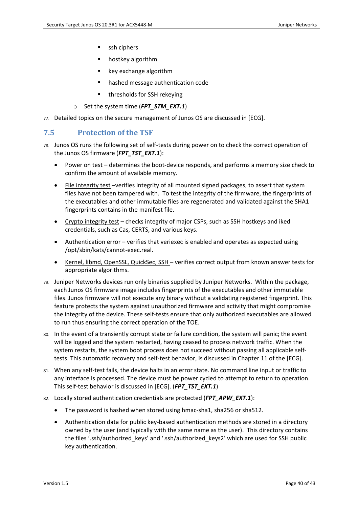- ssh ciphers
- hostkey algorithm
- key exchange algorithm
- hashed message authentication code
- thresholds for SSH rekeying
- o Set the system time (*FPT\_STM\_EXT.1*)
- 77. Detailed topics on the secure management of Junos OS are discussed in [\[ECG\].](#page-7-1)

# <span id="page-39-0"></span>**7.5 Protection of the TSF**

- 78. Junos OS runs the following set of self-tests during power on to check the correct operation of the Junos OS firmware (*FPT\_TST\_EXT.1*):
	- Power on test determines the boot-device responds, and performs a memory size check to confirm the amount of available memory.
	- File integrity test –verifies integrity of all mounted signed packages, to assert that system files have not been tampered with. To test the integrity of the firmware, the fingerprints of the executables and other immutable files are regenerated and validated against the SHA1 fingerprints contains in the manifest file.
	- Crypto integrity test checks integrity of major CSPs, such as SSH hostkeys and iked credentials, such as Cas, CERTS, and various keys.
	- Authentication error verifies that veriexec is enabled and operates as expected using /opt/sbin/kats/cannot-exec.real.
	- Kernel, libmd, OpenSSL, QuickSec, SSH verifies correct output from known answer tests for appropriate algorithms.
- 79. Juniper Networks devices run only binaries supplied by Juniper Networks. Within the package, each Junos OS firmware image includes fingerprints of the executables and other immutable files. Junos firmware will not execute any binary without a validating registered fingerprint. This feature protects the system against unauthorized firmware and activity that might compromise the integrity of the device. These self-tests ensure that only authorized executables are allowed to run thus ensuring the correct operation of the TOE.
- 80. In the event of a transiently corrupt state or failure condition, the system will panic; the event will be logged and the system restarted, having ceased to process network traffic. When the system restarts, the system boot process does not succeed without passing all applicable selftests. This automatic recovery and self-test behavior, is discussed in Chapter 11 of the [\[ECG\].](#page-7-1)
- 81. When any self-test fails, the device halts in an error state. No command line input or traffic to any interface is processed. The device must be power cycled to attempt to return to operation. This self-test behavior is discussed in [\[ECG\].](#page-7-1) (*FPT\_TST\_EXT.1*)
- 82. Locally stored authentication credentials are protected (*FPT\_APW\_EXT.1*):
	- The password is hashed when stored using hmac-sha1, sha256 or sha512.
	- Authentication data for public key-based authentication methods are stored in a directory owned by the user (and typically with the same name as the user). This directory contains the files '.ssh/authorized\_keys' and '.ssh/authorized\_keys2' which are used for SSH public key authentication.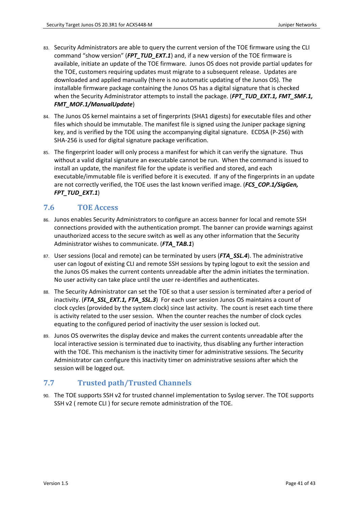- 83. Security Administrators are able to query the current version of the TOE firmware using the CLI command "show version" (*FPT\_TUD\_EXT.1*) and, if a new version of the TOE firmware is available, initiate an update of the TOE firmware. Junos OS does not provide partial updates for the TOE, customers requiring updates must migrate to a subsequent release. Updates are downloaded and applied manually (there is no automatic updating of the Junos OS). The installable firmware package containing the Junos OS has a digital signature that is checked when the Security Administrator attempts to install the package. (*FPT\_TUD\_EXT.1, FMT\_SMF.1, FMT\_MOF.1/ManualUpdate*)
- 84. The Junos OS kernel maintains a set of fingerprints (SHA1 digests) for executable files and other files which should be immutable. The manifest file is signed using the Juniper package signing key, and is verified by the TOE using the accompanying digital signature. ECDSA (P-256) with SHA-256 is used for digital signature package verification.
- 85. The fingerprint loader will only process a manifest for which it can verify the signature. Thus without a valid digital signature an executable cannot be run. When the command is issued to install an update, the manifest file for the update is verified and stored, and each executable/immutable file is verified before it is executed. If any of the fingerprints in an update are not correctly verified, the TOE uses the last known verified image. (*FCS\_COP.1/SigGen, FPT\_TUD\_EXT.1*)

# <span id="page-40-0"></span>**7.6 TOE Access**

- 86. Junos enables Security Administrators to configure an access banner for local and remote SSH connections provided with the authentication prompt. The banner can provide warnings against unauthorized access to the secure switch as well as any other information that the Security Administrator wishes to communicate. (*FTA\_TAB.1*)
- 87. User sessions (local and remote) can be terminated by users (*FTA\_SSL.4*). The administrative user can logout of existing CLI and remote SSH sessions by typing logout to exit the session and the Junos OS makes the current contents unreadable after the admin initiates the termination. No user activity can take place until the user re-identifies and authenticates.
- 88. The Security Administrator can set the TOE so that a user session is terminated after a period of inactivity. (FTA SSL EXT.1, FTA SSL.3) For each user session Junos OS maintains a count of clock cycles (provided by the system clock) since last activity. The count is reset each time there is activity related to the user session. When the counter reaches the number of clock cycles equating to the configured period of inactivity the user session is locked out.
- 89. Junos OS overwrites the display device and makes the current contents unreadable after the local interactive session is terminated due to inactivity, thus disabling any further interaction with the TOE. This mechanism is the inactivity timer for administrative sessions. The Security Administrator can configure this inactivity timer on administrative sessions after which the session will be logged out.

# <span id="page-40-1"></span>**7.7 Trusted path/Trusted Channels**

90. The TOE supports SSH v2 for trusted channel implementation to Syslog server. The TOE supports SSH v2 ( remote CLI ) for secure remote administration of the TOE.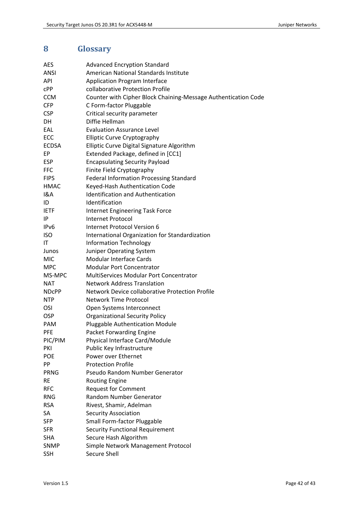# <span id="page-41-0"></span>**8 Glossary**

| <b>AES</b>        | <b>Advanced Encryption Standard</b>                            |
|-------------------|----------------------------------------------------------------|
| ANSI              | American National Standards Institute                          |
| API               | <b>Application Program Interface</b>                           |
| cPP               | collaborative Protection Profile                               |
| <b>CCM</b>        | Counter with Cipher Block Chaining-Message Authentication Code |
| <b>CFP</b>        | C Form-factor Pluggable                                        |
| <b>CSP</b>        | Critical security parameter                                    |
| DH                | Diffie Hellman                                                 |
| EAL               | <b>Evaluation Assurance Level</b>                              |
| ECC               | <b>Elliptic Curve Cryptography</b>                             |
| <b>ECDSA</b>      | Elliptic Curve Digital Signature Algorithm                     |
| EP                | Extended Package, defined in [CC1]                             |
| <b>ESP</b>        | <b>Encapsulating Security Payload</b>                          |
| <b>FFC</b>        | Finite Field Cryptography                                      |
| <b>FIPS</b>       | Federal Information Processing Standard                        |
| <b>HMAC</b>       | Keyed-Hash Authentication Code                                 |
| 1&A               | <b>Identification and Authentication</b>                       |
| ID                | Identification                                                 |
| <b>IETF</b>       | Internet Engineering Task Force                                |
| IP                | <b>Internet Protocol</b>                                       |
| IP <sub>v</sub> 6 | Internet Protocol Version 6                                    |
| <b>ISO</b>        | International Organization for Standardization                 |
| IT                | <b>Information Technology</b>                                  |
| Junos             | Juniper Operating System                                       |
| <b>MIC</b>        | <b>Modular Interface Cards</b>                                 |
| <b>MPC</b>        | <b>Modular Port Concentrator</b>                               |
| MS-MPC            | <b>MultiServices Modular Port Concentrator</b>                 |
| <b>NAT</b>        | <b>Network Address Translation</b>                             |
| <b>NDCPP</b>      | Network Device collaborative Protection Profile                |
| <b>NTP</b>        | <b>Network Time Protocol</b>                                   |
| OSI               | Open Systems Interconnect                                      |
| <b>OSP</b>        | <b>Organizational Security Policy</b>                          |
| PAM               | Pluggable Authentication Module                                |
| <b>PFE</b>        | <b>Packet Forwarding Engine</b>                                |
| PIC/PIM           | Physical Interface Card/Module                                 |
| PKI               | Public Key Infrastructure                                      |
| <b>POE</b>        | Power over Ethernet                                            |
| PP                | <b>Protection Profile</b>                                      |
| <b>PRNG</b>       | Pseudo Random Number Generator                                 |
| <b>RE</b>         | <b>Routing Engine</b>                                          |
| <b>RFC</b>        | <b>Request for Comment</b>                                     |
| <b>RNG</b>        | Random Number Generator                                        |
| <b>RSA</b>        | Rivest, Shamir, Adelman                                        |
| SA                | <b>Security Association</b>                                    |
| <b>SFP</b>        | Small Form-factor Pluggable                                    |
| <b>SFR</b>        | <b>Security Functional Requirement</b>                         |
| <b>SHA</b>        | Secure Hash Algorithm                                          |
| <b>SNMP</b>       | Simple Network Management Protocol                             |
| <b>SSH</b>        | Secure Shell                                                   |